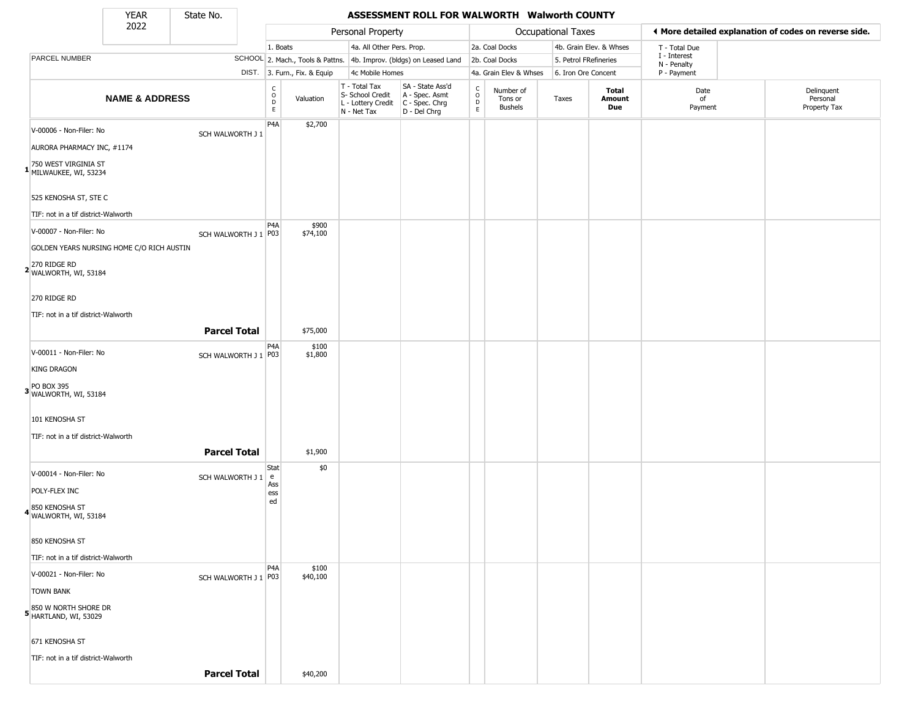State No.

Г

#### YEAR State No. **ASSESSMENT ROLL FOR WALWORTH Walworth COUNTY**

|                                                | 2022                                      |                      |                                                          |                                  | Personal Property                                                      |                                                                      |                                                 |                                        | <b>Occupational Taxes</b> |                         |                             | ♦ More detailed explanation of codes on reverse side. |
|------------------------------------------------|-------------------------------------------|----------------------|----------------------------------------------------------|----------------------------------|------------------------------------------------------------------------|----------------------------------------------------------------------|-------------------------------------------------|----------------------------------------|---------------------------|-------------------------|-----------------------------|-------------------------------------------------------|
|                                                |                                           |                      | 1. Boats                                                 |                                  | 4a. All Other Pers. Prop.                                              |                                                                      |                                                 | 2a. Coal Docks                         |                           | 4b. Grain Elev. & Whses | T - Total Due               |                                                       |
| PARCEL NUMBER                                  |                                           |                      |                                                          | SCHOOL 2. Mach., Tools & Pattns. |                                                                        | 4b. Improv. (bldgs) on Leased Land                                   |                                                 | 2b. Coal Docks                         | 5. Petrol FRefineries     |                         | I - Interest<br>N - Penalty |                                                       |
|                                                |                                           |                      |                                                          | DIST. 3. Furn., Fix. & Equip     | 4c Mobile Homes                                                        |                                                                      |                                                 | 4a. Grain Elev & Whses                 | 6. Iron Ore Concent       |                         | P - Payment                 |                                                       |
|                                                | <b>NAME &amp; ADDRESS</b>                 |                      | $\begin{matrix} 0 \\ 0 \\ 0 \end{matrix}$<br>$\mathsf E$ | Valuation                        | T - Total Tax<br>S- School Credit<br>L - Lottery Credit<br>N - Net Tax | SA - State Ass'd<br>A - Spec. Asmt<br>C - Spec. Chrg<br>D - Del Chrg | $\begin{array}{c} C \\ C \\ D \\ E \end{array}$ | Number of<br>Tons or<br><b>Bushels</b> | Taxes                     | Total<br>Amount<br>Due  | Date<br>of<br>Payment       | Delinquent<br>Personal<br>Property Tax                |
| V-00006 - Non-Filer: No                        |                                           | SCH WALWORTH J 1     | P4A                                                      | \$2,700                          |                                                                        |                                                                      |                                                 |                                        |                           |                         |                             |                                                       |
| AURORA PHARMACY INC, #1174                     |                                           |                      |                                                          |                                  |                                                                        |                                                                      |                                                 |                                        |                           |                         |                             |                                                       |
| 1 750 WEST VIRGINIA ST<br>MILWAUKEE, WI, 53234 |                                           |                      |                                                          |                                  |                                                                        |                                                                      |                                                 |                                        |                           |                         |                             |                                                       |
| 525 KENOSHA ST, STE C                          |                                           |                      |                                                          |                                  |                                                                        |                                                                      |                                                 |                                        |                           |                         |                             |                                                       |
| TIF: not in a tif district-Walworth            |                                           |                      |                                                          |                                  |                                                                        |                                                                      |                                                 |                                        |                           |                         |                             |                                                       |
| V-00007 - Non-Filer: No                        |                                           | SCH WALWORTH J 1 P03 | P4A                                                      | \$900<br>\$74,100                |                                                                        |                                                                      |                                                 |                                        |                           |                         |                             |                                                       |
|                                                | GOLDEN YEARS NURSING HOME C/O RICH AUSTIN |                      |                                                          |                                  |                                                                        |                                                                      |                                                 |                                        |                           |                         |                             |                                                       |
| 2 270 RIDGE RD<br>WALWORTH, WI, 53184          |                                           |                      |                                                          |                                  |                                                                        |                                                                      |                                                 |                                        |                           |                         |                             |                                                       |
| 270 RIDGE RD                                   |                                           |                      |                                                          |                                  |                                                                        |                                                                      |                                                 |                                        |                           |                         |                             |                                                       |
| TIF: not in a tif district-Walworth            |                                           |                      |                                                          |                                  |                                                                        |                                                                      |                                                 |                                        |                           |                         |                             |                                                       |
|                                                |                                           | <b>Parcel Total</b>  |                                                          | \$75,000                         |                                                                        |                                                                      |                                                 |                                        |                           |                         |                             |                                                       |
| V-00011 - Non-Filer: No                        |                                           | SCH WALWORTH J 1 P03 | P4A                                                      | \$100<br>\$1,800                 |                                                                        |                                                                      |                                                 |                                        |                           |                         |                             |                                                       |
| <b>KING DRAGON</b>                             |                                           |                      |                                                          |                                  |                                                                        |                                                                      |                                                 |                                        |                           |                         |                             |                                                       |
| PO BOX 395<br>3 WALWORTH, WI, 53184            |                                           |                      |                                                          |                                  |                                                                        |                                                                      |                                                 |                                        |                           |                         |                             |                                                       |
| 101 KENOSHA ST                                 |                                           |                      |                                                          |                                  |                                                                        |                                                                      |                                                 |                                        |                           |                         |                             |                                                       |
| TIF: not in a tif district-Walworth            |                                           |                      |                                                          |                                  |                                                                        |                                                                      |                                                 |                                        |                           |                         |                             |                                                       |
|                                                |                                           | <b>Parcel Total</b>  |                                                          | \$1,900                          |                                                                        |                                                                      |                                                 |                                        |                           |                         |                             |                                                       |
| V-00014 - Non-Filer: No                        |                                           | SCH WALWORTH J 1 e   | Stat                                                     | \$0                              |                                                                        |                                                                      |                                                 |                                        |                           |                         |                             |                                                       |
| POLY-FLEX INC                                  |                                           |                      | Ass<br>ess                                               |                                  |                                                                        |                                                                      |                                                 |                                        |                           |                         |                             |                                                       |
| 4850 KENOSHA ST<br>WALWORTH, WI, 53184         |                                           |                      | ed                                                       |                                  |                                                                        |                                                                      |                                                 |                                        |                           |                         |                             |                                                       |
| 850 KENOSHA ST                                 |                                           |                      |                                                          |                                  |                                                                        |                                                                      |                                                 |                                        |                           |                         |                             |                                                       |
| TIF: not in a tif district-Walworth            |                                           |                      |                                                          |                                  |                                                                        |                                                                      |                                                 |                                        |                           |                         |                             |                                                       |
| V-00021 - Non-Filer: No                        |                                           | SCH WALWORTH J 1 P03 | P <sub>4</sub> A                                         | \$100<br>\$40,100                |                                                                        |                                                                      |                                                 |                                        |                           |                         |                             |                                                       |
| <b>TOWN BANK</b>                               |                                           |                      |                                                          |                                  |                                                                        |                                                                      |                                                 |                                        |                           |                         |                             |                                                       |
| 5 850 W NORTH SHORE DR<br>HARTLAND, WI, 53029  |                                           |                      |                                                          |                                  |                                                                        |                                                                      |                                                 |                                        |                           |                         |                             |                                                       |
| 671 KENOSHA ST                                 |                                           |                      |                                                          |                                  |                                                                        |                                                                      |                                                 |                                        |                           |                         |                             |                                                       |
| TIF: not in a tif district-Walworth            |                                           |                      |                                                          |                                  |                                                                        |                                                                      |                                                 |                                        |                           |                         |                             |                                                       |
|                                                |                                           | <b>Parcel Total</b>  |                                                          | \$40,200                         |                                                                        |                                                                      |                                                 |                                        |                           |                         |                             |                                                       |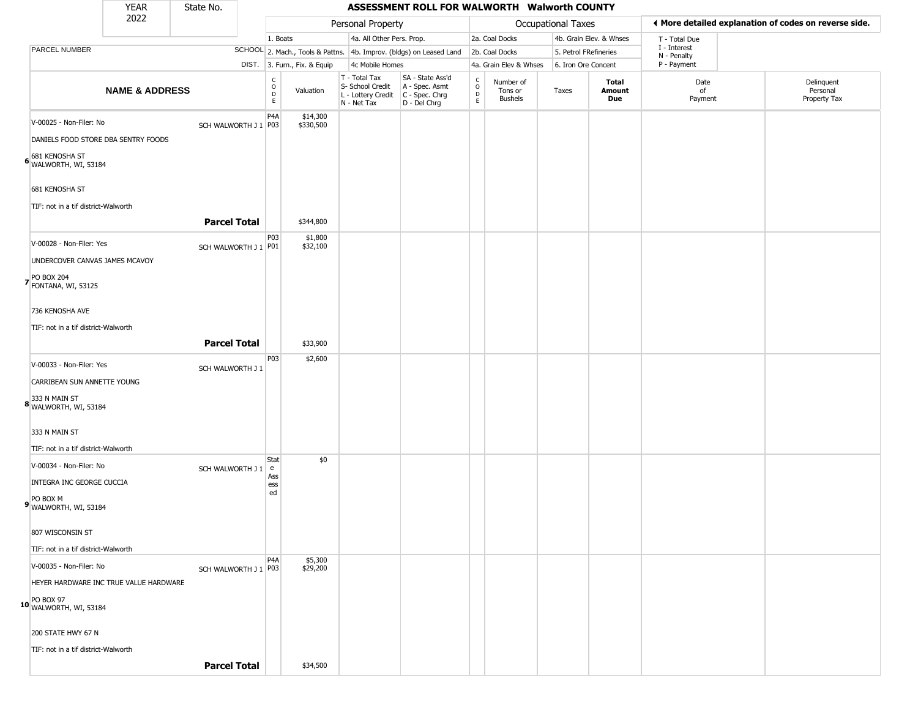|                                                       |                                                                                           | <b>YEAR</b>               | State No.              |                                                |                              |                                                                        | ASSESSMENT ROLL FOR WALWORTH Walworth COUNTY                         |                                                                     |                                        |                           |                         |                             |                                                       |
|-------------------------------------------------------|-------------------------------------------------------------------------------------------|---------------------------|------------------------|------------------------------------------------|------------------------------|------------------------------------------------------------------------|----------------------------------------------------------------------|---------------------------------------------------------------------|----------------------------------------|---------------------------|-------------------------|-----------------------------|-------------------------------------------------------|
|                                                       |                                                                                           | 2022                      |                        |                                                |                              | Personal Property                                                      |                                                                      |                                                                     |                                        | <b>Occupational Taxes</b> |                         |                             | ◀ More detailed explanation of codes on reverse side. |
|                                                       |                                                                                           |                           |                        | 1. Boats                                       |                              | 4a. All Other Pers. Prop.                                              |                                                                      |                                                                     | 2a. Coal Docks                         |                           | 4b. Grain Elev. & Whses | T - Total Due               |                                                       |
| PARCEL NUMBER                                         |                                                                                           |                           |                        |                                                |                              |                                                                        | SCHOOL 2. Mach., Tools & Pattns. 4b. Improv. (bldgs) on Leased Land  |                                                                     | 2b. Coal Docks                         | 5. Petrol FRefineries     |                         | I - Interest<br>N - Penalty |                                                       |
|                                                       |                                                                                           |                           |                        |                                                | DIST. 3. Furn., Fix. & Equip | 4c Mobile Homes                                                        |                                                                      |                                                                     | 4a. Grain Elev & Whses                 | 6. Iron Ore Concent       |                         | P - Payment                 |                                                       |
|                                                       |                                                                                           | <b>NAME &amp; ADDRESS</b> |                        | C<br>$\mathsf O$<br>$\mathsf D$<br>$\mathsf E$ | Valuation                    | T - Total Tax<br>S- School Credit<br>L - Lottery Credit<br>N - Net Tax | SA - State Ass'd<br>A - Spec. Asmt<br>C - Spec. Chrg<br>D - Del Chrg | $\begin{smallmatrix} C \\ 0 \\ D \end{smallmatrix}$<br>$\mathsf{E}$ | Number of<br>Tons or<br><b>Bushels</b> | Taxes                     | Total<br>Amount<br>Due  | Date<br>of<br>Payment       | Delinquent<br>Personal<br>Property Tax                |
| 681 KENOSHA ST                                        | V-00025 - Non-Filer: No<br>DANIELS FOOD STORE DBA SENTRY FOODS<br>6 WALWORTH, WI, 53184   |                           | SCH WALWORTH J 1 P03   | P <sub>4</sub> A                               | \$14,300<br>\$330,500        |                                                                        |                                                                      |                                                                     |                                        |                           |                         |                             |                                                       |
| 681 KENOSHA ST                                        | TIF: not in a tif district-Walworth                                                       |                           | <b>Parcel Total</b>    |                                                | \$344,800                    |                                                                        |                                                                      |                                                                     |                                        |                           |                         |                             |                                                       |
| PO BOX 204<br>7 FONTANA, WI, 53125<br>736 KENOSHA AVE | V-00028 - Non-Filer: Yes<br>UNDERCOVER CANVAS JAMES MCAVOY                                |                           | SCH WALWORTH J 1 P01   | P03                                            | \$1,800<br>\$32,100          |                                                                        |                                                                      |                                                                     |                                        |                           |                         |                             |                                                       |
|                                                       | TIF: not in a tif district-Walworth                                                       |                           | <b>Parcel Total</b>    |                                                | \$33,900                     |                                                                        |                                                                      |                                                                     |                                        |                           |                         |                             |                                                       |
|                                                       | V-00033 - Non-Filer: Yes<br>CARRIBEAN SUN ANNETTE YOUNG                                   |                           | SCH WALWORTH J 1       | P03                                            | \$2,600                      |                                                                        |                                                                      |                                                                     |                                        |                           |                         |                             |                                                       |
| 333 N MAIN ST                                         | 8 333 N MAIN ST<br>WALWORTH, WI, 53184<br>TIF: not in a tif district-Walworth             |                           |                        |                                                |                              |                                                                        |                                                                      |                                                                     |                                        |                           |                         |                             |                                                       |
|                                                       | V-00034 - Non-Filer: No<br>INTEGRA INC GEORGE CUCCIA<br>9 PO BOX M<br>WALWORTH, WI, 53184 |                           | SCH WALWORTH J 1       | Stat<br>e<br>Ass<br>ess<br>ed                  | \$0                          |                                                                        |                                                                      |                                                                     |                                        |                           |                         |                             |                                                       |
| 807 WISCONSIN ST                                      | TIF: not in a tif district-Walworth                                                       |                           |                        |                                                |                              |                                                                        |                                                                      |                                                                     |                                        |                           |                         |                             |                                                       |
| 10 PO BOX 97<br>WALWORTH, WI, 53184                   | V-00035 - Non-Filer: No<br>HEYER HARDWARE INC TRUE VALUE HARDWARE                         |                           | SCH WALWORTH J 1   P03 | P <sub>4</sub> A                               | \$5,300<br>\$29,200          |                                                                        |                                                                      |                                                                     |                                        |                           |                         |                             |                                                       |
|                                                       | 200 STATE HWY 67 N                                                                        |                           |                        |                                                |                              |                                                                        |                                                                      |                                                                     |                                        |                           |                         |                             |                                                       |
|                                                       | TIF: not in a tif district-Walworth                                                       |                           | <b>Parcel Total</b>    |                                                | \$34,500                     |                                                                        |                                                                      |                                                                     |                                        |                           |                         |                             |                                                       |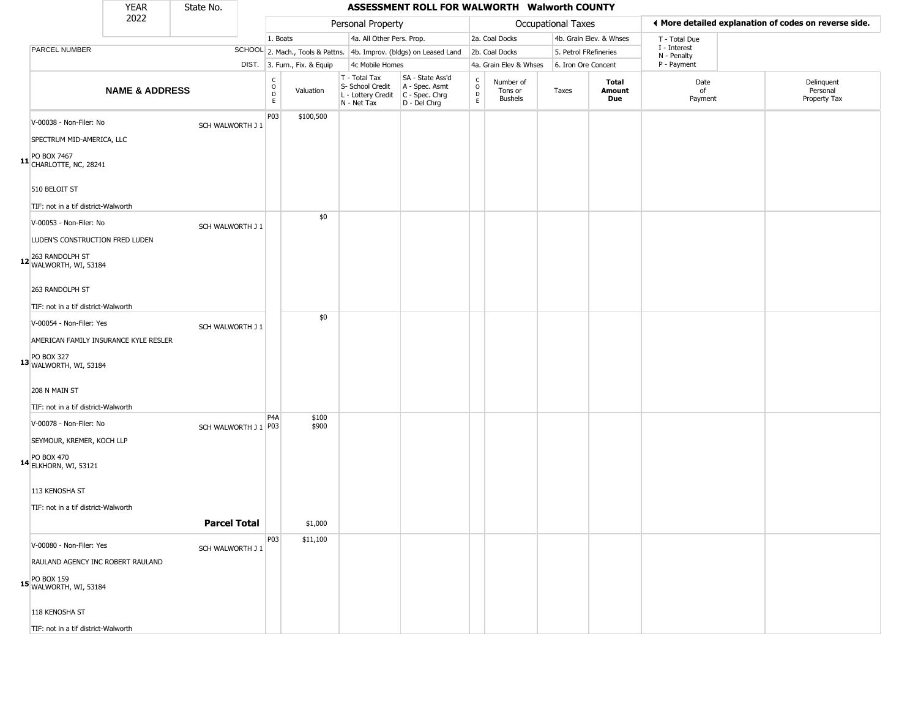|                                                       | <b>YEAR</b>               | State No.              |                                                |                              |                                                                        | ASSESSMENT ROLL FOR WALWORTH Walworth COUNTY                         |                                                 |                                        |                       |                         |                             |                                                       |
|-------------------------------------------------------|---------------------------|------------------------|------------------------------------------------|------------------------------|------------------------------------------------------------------------|----------------------------------------------------------------------|-------------------------------------------------|----------------------------------------|-----------------------|-------------------------|-----------------------------|-------------------------------------------------------|
|                                                       | 2022                      |                        |                                                |                              | Personal Property                                                      |                                                                      |                                                 |                                        | Occupational Taxes    |                         |                             | ◀ More detailed explanation of codes on reverse side. |
|                                                       |                           |                        | 1. Boats                                       |                              | 4a. All Other Pers. Prop.                                              |                                                                      |                                                 | 2a. Coal Docks                         |                       | 4b. Grain Elev. & Whses | T - Total Due               |                                                       |
| PARCEL NUMBER                                         |                           |                        |                                                |                              |                                                                        | SCHOOL 2. Mach., Tools & Pattns. 4b. Improv. (bldgs) on Leased Land  |                                                 | 2b. Coal Docks                         | 5. Petrol FRefineries |                         | I - Interest<br>N - Penalty |                                                       |
|                                                       |                           |                        |                                                | DIST. 3. Furn., Fix. & Equip | 4c Mobile Homes                                                        |                                                                      |                                                 | 4a. Grain Elev & Whses                 | 6. Iron Ore Concent   |                         | P - Payment                 |                                                       |
|                                                       | <b>NAME &amp; ADDRESS</b> |                        | $\begin{matrix} 0 \\ 0 \\ D \end{matrix}$<br>E | Valuation                    | T - Total Tax<br>S- School Credit<br>L - Lottery Credit<br>N - Net Tax | SA - State Ass'd<br>A - Spec. Asmt<br>C - Spec. Chrg<br>D - Del Chrg | $\begin{array}{c} C \\ O \\ D \\ E \end{array}$ | Number of<br>Tons or<br><b>Bushels</b> | Taxes                 | Total<br>Amount<br>Due  | Date<br>of<br>Payment       | Delinquent<br>Personal<br>Property Tax                |
| V-00038 - Non-Filer: No                               |                           | SCH WALWORTH J 1       | P03                                            | \$100,500                    |                                                                        |                                                                      |                                                 |                                        |                       |                         |                             |                                                       |
| SPECTRUM MID-AMERICA, LLC                             |                           |                        |                                                |                              |                                                                        |                                                                      |                                                 |                                        |                       |                         |                             |                                                       |
| PO BOX 7467<br>11 CHARLOTTE, NC, 28241                |                           |                        |                                                |                              |                                                                        |                                                                      |                                                 |                                        |                       |                         |                             |                                                       |
| 510 BELOIT ST                                         |                           |                        |                                                |                              |                                                                        |                                                                      |                                                 |                                        |                       |                         |                             |                                                       |
| TIF: not in a tif district-Walworth                   |                           |                        |                                                |                              |                                                                        |                                                                      |                                                 |                                        |                       |                         |                             |                                                       |
| V-00053 - Non-Filer: No                               |                           | SCH WALWORTH J 1       |                                                | \$0                          |                                                                        |                                                                      |                                                 |                                        |                       |                         |                             |                                                       |
| LUDEN'S CONSTRUCTION FRED LUDEN                       |                           |                        |                                                |                              |                                                                        |                                                                      |                                                 |                                        |                       |                         |                             |                                                       |
| 263 RANDOLPH ST<br>12 WALWORTH, WI, 53184             |                           |                        |                                                |                              |                                                                        |                                                                      |                                                 |                                        |                       |                         |                             |                                                       |
| 263 RANDOLPH ST                                       |                           |                        |                                                |                              |                                                                        |                                                                      |                                                 |                                        |                       |                         |                             |                                                       |
| TIF: not in a tif district-Walworth                   |                           |                        |                                                |                              |                                                                        |                                                                      |                                                 |                                        |                       |                         |                             |                                                       |
| V-00054 - Non-Filer: Yes                              |                           | SCH WALWORTH J 1       |                                                | \$0                          |                                                                        |                                                                      |                                                 |                                        |                       |                         |                             |                                                       |
| AMERICAN FAMILY INSURANCE KYLE RESLER                 |                           |                        |                                                |                              |                                                                        |                                                                      |                                                 |                                        |                       |                         |                             |                                                       |
| <b>PO BOX 327</b><br>13 WALWORTH, WI, 53184           |                           |                        |                                                |                              |                                                                        |                                                                      |                                                 |                                        |                       |                         |                             |                                                       |
| 208 N MAIN ST                                         |                           |                        |                                                |                              |                                                                        |                                                                      |                                                 |                                        |                       |                         |                             |                                                       |
| TIF: not in a tif district-Walworth                   |                           |                        |                                                |                              |                                                                        |                                                                      |                                                 |                                        |                       |                         |                             |                                                       |
| V-00078 - Non-Filer: No                               |                           | SCH WALWORTH J 1   P03 | P <sub>4</sub> A                               | \$100<br>\$900               |                                                                        |                                                                      |                                                 |                                        |                       |                         |                             |                                                       |
| SEYMOUR, KREMER, KOCH LLP                             |                           |                        |                                                |                              |                                                                        |                                                                      |                                                 |                                        |                       |                         |                             |                                                       |
| PO BOX 470<br>14 ELKHORN, WI, 53121                   |                           |                        |                                                |                              |                                                                        |                                                                      |                                                 |                                        |                       |                         |                             |                                                       |
| 113 KENOSHA ST                                        |                           |                        |                                                |                              |                                                                        |                                                                      |                                                 |                                        |                       |                         |                             |                                                       |
| TIF: not in a tif district-Walworth                   |                           |                        |                                                |                              |                                                                        |                                                                      |                                                 |                                        |                       |                         |                             |                                                       |
|                                                       |                           | <b>Parcel Total</b>    |                                                | \$1,000                      |                                                                        |                                                                      |                                                 |                                        |                       |                         |                             |                                                       |
| V-00080 - Non-Filer: Yes                              |                           | SCH WALWORTH J 1       | P03                                            | \$11,100                     |                                                                        |                                                                      |                                                 |                                        |                       |                         |                             |                                                       |
| RAULAND AGENCY INC ROBERT RAULAND                     |                           |                        |                                                |                              |                                                                        |                                                                      |                                                 |                                        |                       |                         |                             |                                                       |
| <b>15</b> PO BOX 159<br><b>15</b> WALWORTH, WI, 53184 |                           |                        |                                                |                              |                                                                        |                                                                      |                                                 |                                        |                       |                         |                             |                                                       |
| 118 KENOSHA ST                                        |                           |                        |                                                |                              |                                                                        |                                                                      |                                                 |                                        |                       |                         |                             |                                                       |
| TIF: not in a tif district-Walworth                   |                           |                        |                                                |                              |                                                                        |                                                                      |                                                 |                                        |                       |                         |                             |                                                       |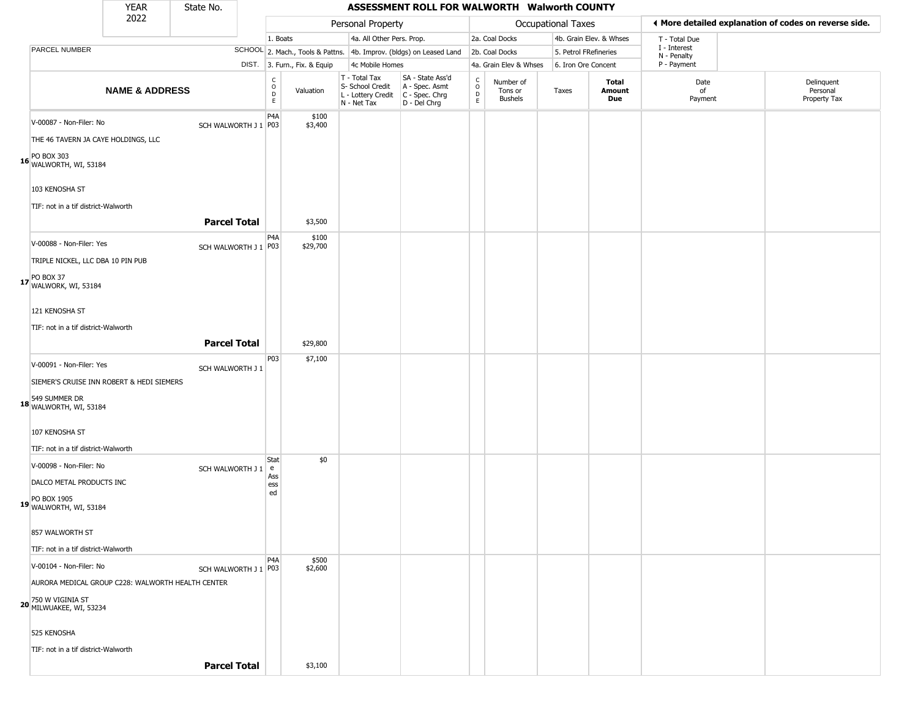|                                                                                                                             | <b>YEAR</b>               | State No.              |                                                |                              |                                                                        | ASSESSMENT ROLL FOR WALWORTH Walworth COUNTY                         |                         |                                        |                       |                         |                             |                                                       |
|-----------------------------------------------------------------------------------------------------------------------------|---------------------------|------------------------|------------------------------------------------|------------------------------|------------------------------------------------------------------------|----------------------------------------------------------------------|-------------------------|----------------------------------------|-----------------------|-------------------------|-----------------------------|-------------------------------------------------------|
|                                                                                                                             | 2022                      |                        |                                                |                              | Personal Property                                                      |                                                                      |                         |                                        | Occupational Taxes    |                         |                             | ◀ More detailed explanation of codes on reverse side. |
|                                                                                                                             |                           |                        | 1. Boats                                       |                              | 4a. All Other Pers. Prop.                                              |                                                                      |                         | 2a. Coal Docks                         |                       | 4b. Grain Elev. & Whses | T - Total Due               |                                                       |
| PARCEL NUMBER                                                                                                               |                           |                        |                                                |                              |                                                                        | SCHOOL 2. Mach., Tools & Pattns. 4b. Improv. (bldgs) on Leased Land  |                         | 2b. Coal Docks                         | 5. Petrol FRefineries |                         | I - Interest<br>N - Penalty |                                                       |
|                                                                                                                             |                           |                        |                                                | DIST. 3. Furn., Fix. & Equip | 4c Mobile Homes                                                        |                                                                      |                         | 4a. Grain Elev & Whses                 | 6. Iron Ore Concent   |                         | P - Payment                 |                                                       |
|                                                                                                                             | <b>NAME &amp; ADDRESS</b> |                        | $\begin{matrix} 0 \\ 0 \\ D \end{matrix}$<br>E | Valuation                    | T - Total Tax<br>S- School Credit<br>L - Lottery Credit<br>N - Net Tax | SA - State Ass'd<br>A - Spec. Asmt<br>C - Spec. Chrg<br>D - Del Chrg | $\frac{C}{O}$<br>D<br>E | Number of<br>Tons or<br><b>Bushels</b> | Taxes                 | Total<br>Amount<br>Due  | Date<br>of<br>Payment       | Delinquent<br>Personal<br>Property Tax                |
| V-00087 - Non-Filer: No<br>THE 46 TAVERN JA CAYE HOLDINGS, LLC<br>PO BOX 303<br><b>16</b> WALWORTH, WI, 53184               |                           | SCH WALWORTH J 1 P03   | P4A                                            | \$100<br>\$3,400             |                                                                        |                                                                      |                         |                                        |                       |                         |                             |                                                       |
| 103 KENOSHA ST<br>TIF: not in a tif district-Walworth                                                                       |                           | <b>Parcel Total</b>    |                                                | \$3,500                      |                                                                        |                                                                      |                         |                                        |                       |                         |                             |                                                       |
| V-00088 - Non-Filer: Yes<br>TRIPLE NICKEL, LLC DBA 10 PIN PUB<br>17 PO BOX 37<br>17 WALWORK, WI, 53184                      |                           | SCH WALWORTH J 1   P03 | P <sub>4</sub> A                               | \$100<br>\$29,700            |                                                                        |                                                                      |                         |                                        |                       |                         |                             |                                                       |
| 121 KENOSHA ST<br>TIF: not in a tif district-Walworth                                                                       |                           | <b>Parcel Total</b>    |                                                | \$29,800                     |                                                                        |                                                                      |                         |                                        |                       |                         |                             |                                                       |
| V-00091 - Non-Filer: Yes<br>SIEMER'S CRUISE INN ROBERT & HEDI SIEMERS                                                       |                           | SCH WALWORTH J 1       | P03                                            | \$7,100                      |                                                                        |                                                                      |                         |                                        |                       |                         |                             |                                                       |
| 549 SUMMER DR<br>18 WALWORTH, WI, 53184<br>107 KENOSHA ST<br>TIF: not in a tif district-Walworth                            |                           |                        |                                                |                              |                                                                        |                                                                      |                         |                                        |                       |                         |                             |                                                       |
| V-00098 - Non-Filer: No<br>DALCO METAL PRODUCTS INC<br>19 PO BOX 1905<br>WALWORTH, WI, 53184                                |                           | SCH WALWORTH J 1       | Stat<br>e<br>Ass<br>ess<br>ed                  | \$0                          |                                                                        |                                                                      |                         |                                        |                       |                         |                             |                                                       |
| 857 WALWORTH ST<br>TIF: not in a tif district-Walworth                                                                      |                           |                        |                                                |                              |                                                                        |                                                                      |                         |                                        |                       |                         |                             |                                                       |
| V-00104 - Non-Filer: No<br>AURORA MEDICAL GROUP C228: WALWORTH HEALTH CENTER<br>20 750 W VIGINIA ST<br>MILWUAKEE, WI, 53234 |                           | SCH WALWORTH J 1   P03 | P <sub>4</sub> A                               | \$500<br>\$2,600             |                                                                        |                                                                      |                         |                                        |                       |                         |                             |                                                       |
| 525 KENOSHA<br>TIF: not in a tif district-Walworth                                                                          |                           |                        |                                                |                              |                                                                        |                                                                      |                         |                                        |                       |                         |                             |                                                       |
|                                                                                                                             |                           | <b>Parcel Total</b>    |                                                | \$3,100                      |                                                                        |                                                                      |                         |                                        |                       |                         |                             |                                                       |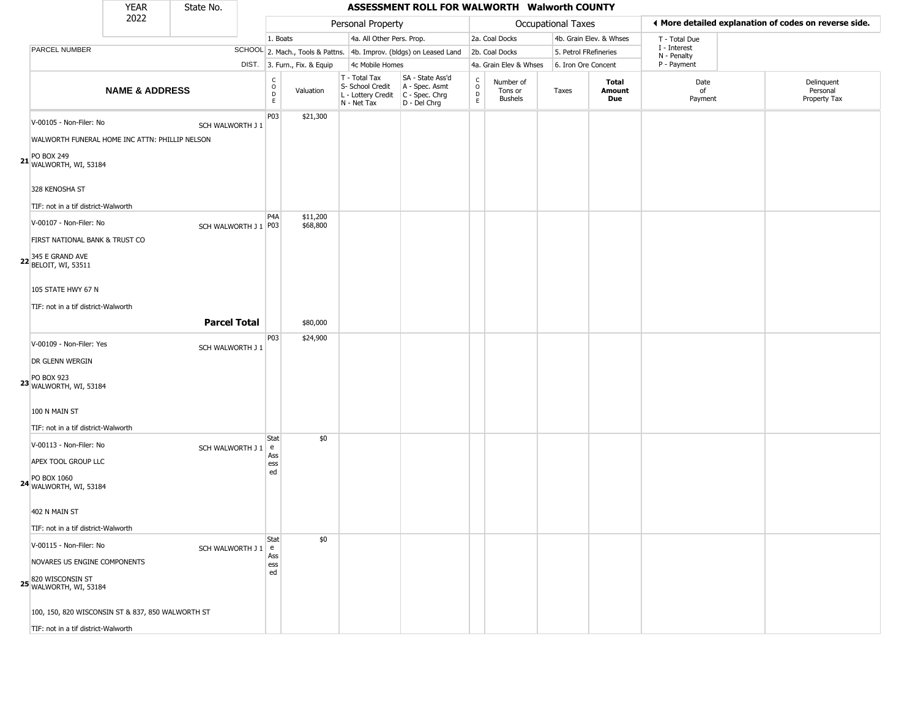|                                                                                                                                                                                                                                                | <b>YEAR</b>               | State No.                                  |                                        |                                  |                                                                        | ASSESSMENT ROLL FOR WALWORTH Walworth COUNTY                           |                                                 |                                        |                           |                         |                             |                                                       |
|------------------------------------------------------------------------------------------------------------------------------------------------------------------------------------------------------------------------------------------------|---------------------------|--------------------------------------------|----------------------------------------|----------------------------------|------------------------------------------------------------------------|------------------------------------------------------------------------|-------------------------------------------------|----------------------------------------|---------------------------|-------------------------|-----------------------------|-------------------------------------------------------|
|                                                                                                                                                                                                                                                | 2022                      |                                            |                                        |                                  | Personal Property                                                      |                                                                        |                                                 |                                        | <b>Occupational Taxes</b> |                         |                             | ♦ More detailed explanation of codes on reverse side. |
|                                                                                                                                                                                                                                                |                           |                                            | 1. Boats                               |                                  | 4a. All Other Pers. Prop.                                              |                                                                        |                                                 | 2a. Coal Docks                         |                           | 4b. Grain Elev. & Whses | T - Total Due               |                                                       |
| PARCEL NUMBER                                                                                                                                                                                                                                  |                           |                                            |                                        |                                  |                                                                        | SCHOOL 2. Mach., Tools & Pattns. 4b. Improv. (bldgs) on Leased Land    |                                                 | 2b. Coal Docks                         | 5. Petrol FRefineries     |                         | I - Interest<br>N - Penalty |                                                       |
|                                                                                                                                                                                                                                                |                           |                                            |                                        | DIST. 3. Furn., Fix. & Equip     | 4c Mobile Homes                                                        |                                                                        |                                                 | 4a. Grain Elev & Whses                 | 6. Iron Ore Concent       |                         | P - Payment                 |                                                       |
|                                                                                                                                                                                                                                                | <b>NAME &amp; ADDRESS</b> |                                            | $_{\rm o}^{\rm c}$<br>D<br>$\mathsf E$ | Valuation                        | T - Total Tax<br>S- School Credit<br>L - Lottery Credit<br>N - Net Tax | SA - State Ass'd<br>A - Spec. Asmt<br>$C - Spec. Chrg$<br>D - Del Chrg | $\begin{array}{c} C \\ O \\ D \\ E \end{array}$ | Number of<br>Tons or<br><b>Bushels</b> | Taxes                     | Total<br>Amount<br>Due  | Date<br>of<br>Payment       | Delinquent<br>Personal<br>Property Tax                |
| V-00105 - Non-Filer: No<br>WALWORTH FUNERAL HOME INC ATTN: PHILLIP NELSON<br><b>PO BOX 249</b><br>21 WALWORTH, WI, 53184<br>328 KENOSHA ST<br>TIF: not in a tif district-Walworth<br>V-00107 - Non-Filer: No<br>FIRST NATIONAL BANK & TRUST CO |                           | SCH WALWORTH J 1<br>SCH WALWORTH J 1   P03 | P03<br>P <sub>4</sub> A                | \$21,300<br>\$11,200<br>\$68,800 |                                                                        |                                                                        |                                                 |                                        |                           |                         |                             |                                                       |
| <b>22</b> 345 E GRAND AVE<br>BELOIT, WI, 53511<br>105 STATE HWY 67 N<br>TIF: not in a tif district-Walworth                                                                                                                                    |                           | <b>Parcel Total</b>                        | P03                                    | \$80,000<br>\$24,900             |                                                                        |                                                                        |                                                 |                                        |                           |                         |                             |                                                       |
| V-00109 - Non-Filer: Yes<br>DR GLENN WERGIN<br>23 PO BOX 923<br>WALWORTH, WI, 53184<br>100 N MAIN ST<br>TIF: not in a tif district-Walworth                                                                                                    |                           | SCH WALWORTH J 1                           |                                        |                                  |                                                                        |                                                                        |                                                 |                                        |                           |                         |                             |                                                       |
| V-00113 - Non-Filer: No<br>APEX TOOL GROUP LLC<br>24 PO BOX 1060<br>WALWORTH, WI, 53184<br>402 N MAIN ST<br>TIF: not in a tif district-Walworth                                                                                                |                           | SCH WALWORTH J 1   e                       | Stat<br>Ass<br>ess<br>ed               | \$0                              |                                                                        |                                                                        |                                                 |                                        |                           |                         |                             |                                                       |
| V-00115 - Non-Filer: No<br>NOVARES US ENGINE COMPONENTS<br>820 WISCONSIN ST<br>WALWORTH, WI, 53184<br>100, 150, 820 WISCONSIN ST & 837, 850 WALWORTH ST<br>TIF: not in a tif district-Walworth                                                 |                           | SCH WALWORTH J 1   e                       | Stat<br>Ass<br>ess<br>ed               | \$0                              |                                                                        |                                                                        |                                                 |                                        |                           |                         |                             |                                                       |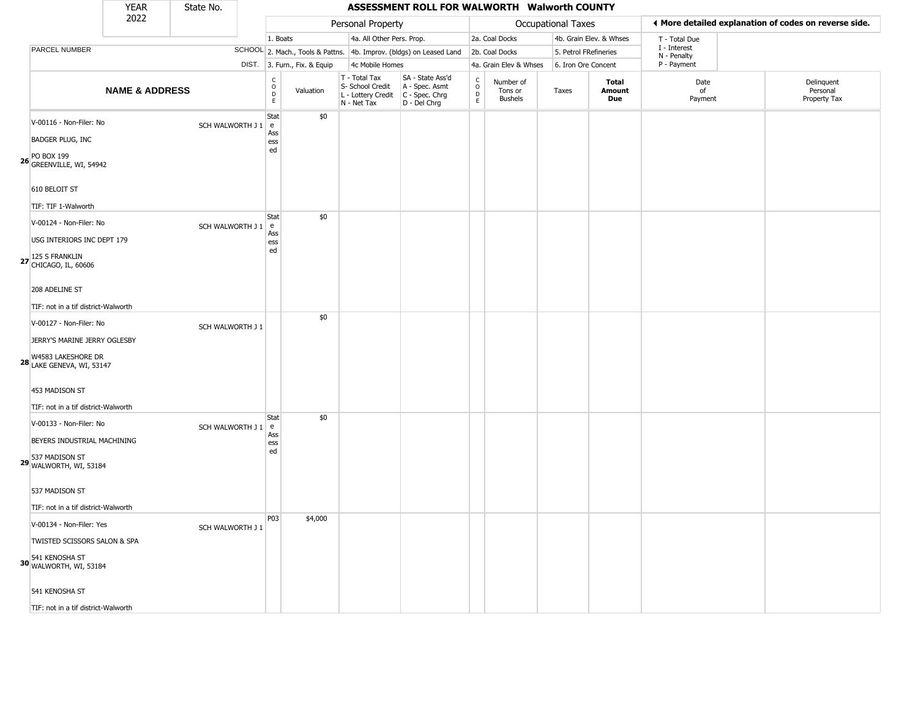|                                                                                                                   | <b>YEAR</b>               | State No.        |                                           |                              |                                                                        | ASSESSMENT ROLL FOR WALWORTH Walworth COUNTY                         |                                                       |                                        |                       |                               |                             |                                                       |
|-------------------------------------------------------------------------------------------------------------------|---------------------------|------------------|-------------------------------------------|------------------------------|------------------------------------------------------------------------|----------------------------------------------------------------------|-------------------------------------------------------|----------------------------------------|-----------------------|-------------------------------|-----------------------------|-------------------------------------------------------|
|                                                                                                                   | 2022                      |                  |                                           |                              | Personal Property                                                      |                                                                      |                                                       |                                        | Occupational Taxes    |                               |                             | ◀ More detailed explanation of codes on reverse side. |
|                                                                                                                   |                           |                  | 1. Boats                                  |                              | 4a. All Other Pers. Prop.                                              |                                                                      |                                                       | 2a. Coal Docks                         |                       | 4b. Grain Elev. & Whses       | T - Total Due               |                                                       |
| PARCEL NUMBER                                                                                                     |                           |                  |                                           |                              |                                                                        | SCHOOL 2. Mach., Tools & Pattns. 4b. Improv. (bldgs) on Leased Land  |                                                       | 2b. Coal Docks                         | 5. Petrol FRefineries |                               | I - Interest<br>N - Penalty |                                                       |
|                                                                                                                   |                           |                  |                                           | DIST. 3. Furn., Fix. & Equip | 4c Mobile Homes                                                        |                                                                      |                                                       | 4a. Grain Elev & Whses                 | 6. Iron Ore Concent   |                               | P - Payment                 |                                                       |
|                                                                                                                   | <b>NAME &amp; ADDRESS</b> |                  | $\rm _o^c$<br>$\mathsf{D}$<br>$\mathsf E$ | Valuation                    | T - Total Tax<br>S- School Credit<br>L - Lottery Credit<br>N - Net Tax | SA - State Ass'd<br>A - Spec. Asmt<br>C - Spec. Chrg<br>D - Del Chrg | $\int_{0}^{c}$<br>$\mathrel{\mathsf{D}}_{\mathsf{E}}$ | Number of<br>Tons or<br><b>Bushels</b> | Taxes                 | <b>Total</b><br>Amount<br>Due | Date<br>of<br>Payment       | Delinquent<br>Personal<br>Property Tax                |
| V-00116 - Non-Filer: No<br><b>BADGER PLUG, INC</b><br><b>26</b> PO BOX 199<br>GREENVILLE, WI, 54942               |                           | SCH WALWORTH J 1 | Stat<br>e<br>Ass<br>ess<br>ed             | \$0                          |                                                                        |                                                                      |                                                       |                                        |                       |                               |                             |                                                       |
| 610 BELOIT ST<br>TIF: TIF 1-Walworth                                                                              |                           |                  |                                           |                              |                                                                        |                                                                      |                                                       |                                        |                       |                               |                             |                                                       |
| V-00124 - Non-Filer: No<br>USG INTERIORS INC DEPT 179<br>27 125 S FRANKLIN<br>27 CHICAGO, IL, 60606               |                           | SCH WALWORTH J 1 | <b>Stat</b><br>l e<br>Ass<br>ess<br>ed    | \$0                          |                                                                        |                                                                      |                                                       |                                        |                       |                               |                             |                                                       |
| 208 ADELINE ST<br>TIF: not in a tif district-Walworth                                                             |                           |                  |                                           |                              |                                                                        |                                                                      |                                                       |                                        |                       |                               |                             |                                                       |
| V-00127 - Non-Filer: No<br>JERRY'S MARINE JERRY OGLESBY<br>W4583 LAKESHORE DR<br><b>28 LAKE GENEVA, WI, 53147</b> |                           | SCH WALWORTH J 1 |                                           | \$0                          |                                                                        |                                                                      |                                                       |                                        |                       |                               |                             |                                                       |
| 453 MADISON ST<br>TIF: not in a tif district-Walworth                                                             |                           |                  |                                           |                              |                                                                        |                                                                      |                                                       |                                        |                       |                               |                             |                                                       |
| V-00133 - Non-Filer: No<br>BEYERS INDUSTRIAL MACHINING<br>29 537 MADISON ST<br>WALWORTH, WI, 53184                |                           | SCH WALWORTH J 1 | Stat<br>l e<br>Ass<br>ess<br>ed           | \$0                          |                                                                        |                                                                      |                                                       |                                        |                       |                               |                             |                                                       |
| 537 MADISON ST<br>TIF: not in a tif district-Walworth                                                             |                           |                  |                                           |                              |                                                                        |                                                                      |                                                       |                                        |                       |                               |                             |                                                       |
| V-00134 - Non-Filer: Yes<br>TWISTED SCISSORS SALON & SPA<br>30 541 KENOSHA ST<br>30 WALWORTH, WI, 53184           |                           | SCH WALWORTH J 1 | P03                                       | \$4,000                      |                                                                        |                                                                      |                                                       |                                        |                       |                               |                             |                                                       |
| 541 KENOSHA ST                                                                                                    |                           |                  |                                           |                              |                                                                        |                                                                      |                                                       |                                        |                       |                               |                             |                                                       |
| TIF: not in a tif district-Walworth                                                                               |                           |                  |                                           |                              |                                                                        |                                                                      |                                                       |                                        |                       |                               |                             |                                                       |

TIF: not in a tif district-Walworth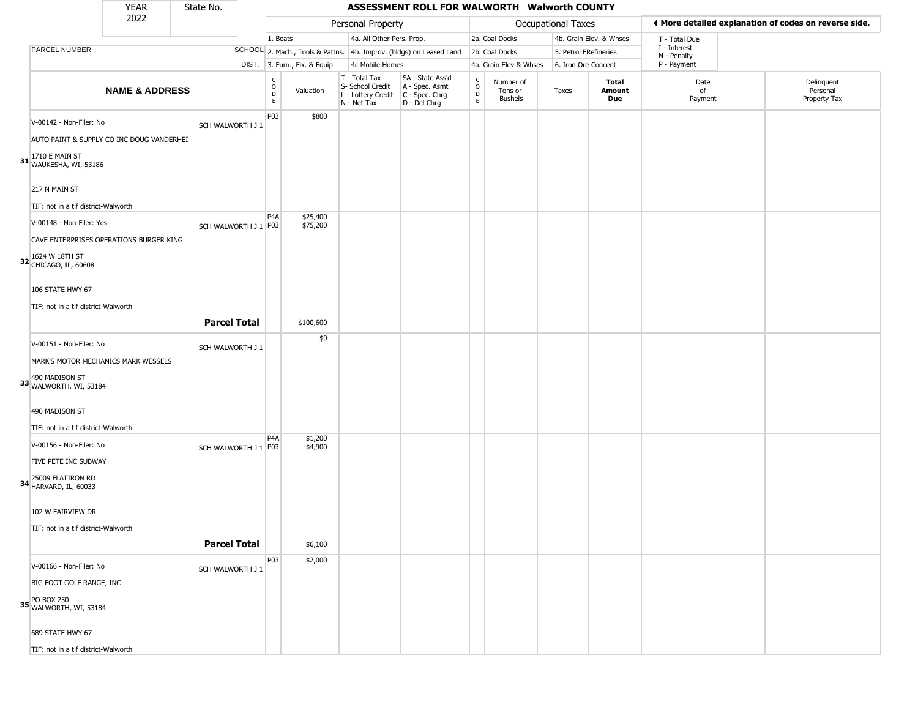|                                                                                                                    | <b>YEAR</b>               | State No.           |                                        |                              |                                                                        | ASSESSMENT ROLL FOR WALWORTH Walworth COUNTY                           |                                             |                                        |                       |                         |                             |                                                       |
|--------------------------------------------------------------------------------------------------------------------|---------------------------|---------------------|----------------------------------------|------------------------------|------------------------------------------------------------------------|------------------------------------------------------------------------|---------------------------------------------|----------------------------------------|-----------------------|-------------------------|-----------------------------|-------------------------------------------------------|
|                                                                                                                    | 2022                      |                     |                                        |                              | Personal Property                                                      |                                                                        |                                             |                                        | Occupational Taxes    |                         |                             | ♦ More detailed explanation of codes on reverse side. |
|                                                                                                                    |                           |                     | 1. Boats                               |                              | 4a. All Other Pers. Prop.                                              |                                                                        |                                             | 2a. Coal Docks                         |                       | 4b. Grain Elev. & Whses | T - Total Due               |                                                       |
| PARCEL NUMBER                                                                                                      |                           |                     |                                        |                              |                                                                        | SCHOOL 2. Mach., Tools & Pattns. 4b. Improv. (bldgs) on Leased Land    |                                             | 2b. Coal Docks                         | 5. Petrol FRefineries |                         | I - Interest<br>N - Penalty |                                                       |
|                                                                                                                    |                           |                     |                                        | DIST. 3. Furn., Fix. & Equip | 4c Mobile Homes                                                        |                                                                        |                                             | 4a. Grain Elev & Whses                 | 6. Iron Ore Concent   |                         | P - Payment                 |                                                       |
|                                                                                                                    | <b>NAME &amp; ADDRESS</b> |                     | $_{\rm o}^{\rm c}$<br>$\mathsf D$<br>E | Valuation                    | T - Total Tax<br>S- School Credit<br>L - Lottery Credit<br>N - Net Tax | SA - State Ass'd<br>A - Spec. Asmt<br>$C - Spec. Chrg$<br>D - Del Chrg | $\mathsf{C}$<br>$\circ$<br>$\mathsf D$<br>E | Number of<br>Tons or<br><b>Bushels</b> | Taxes                 | Total<br>Amount<br>Due  | Date<br>of<br>Payment       | Delinquent<br>Personal<br>Property Tax                |
| V-00142 - Non-Filer: No<br>AUTO PAINT & SUPPLY CO INC DOUG VANDERHEI<br>1710 E MAIN ST<br>31 WAUKESHA, WI, 53186   |                           | SCH WALWORTH J 1    | P <sub>0</sub> 3                       | \$800                        |                                                                        |                                                                        |                                             |                                        |                       |                         |                             |                                                       |
| 217 N MAIN ST<br>TIF: not in a tif district-Walworth                                                               |                           |                     |                                        |                              |                                                                        |                                                                        |                                             |                                        |                       |                         |                             |                                                       |
| V-00148 - Non-Filer: Yes<br>CAVE ENTERPRISES OPERATIONS BURGER KING<br>1624 W 18TH ST<br>32 CHICAGO, IL, 60608     |                           | SCH WALWORTH J 1    | P <sub>4</sub> A<br>P <sub>0</sub> 3   | \$25,400<br>\$75,200         |                                                                        |                                                                        |                                             |                                        |                       |                         |                             |                                                       |
| 106 STATE HWY 67<br>TIF: not in a tif district-Walworth                                                            |                           | <b>Parcel Total</b> |                                        | \$100,600                    |                                                                        |                                                                        |                                             |                                        |                       |                         |                             |                                                       |
| V-00151 - Non-Filer: No<br>MARK'S MOTOR MECHANICS MARK WESSELS<br>490 MADISON ST<br>33 WALWORTH, WI, 53184         |                           | SCH WALWORTH J 1    |                                        | \$0                          |                                                                        |                                                                        |                                             |                                        |                       |                         |                             |                                                       |
| 490 MADISON ST<br>TIF: not in a tif district-Walworth                                                              |                           |                     |                                        |                              |                                                                        |                                                                        |                                             |                                        |                       |                         |                             |                                                       |
| V-00156 - Non-Filer: No<br>FIVE PETE INC SUBWAY<br>25009 FLATIRON RD<br><b>34</b> HARVARD, IL, 60033               |                           |                     | P4A<br>SCH WALWORTH J 1 P03            | \$1,200<br>\$4,900           |                                                                        |                                                                        |                                             |                                        |                       |                         |                             |                                                       |
| 102 W FAIRVIEW DR<br>TIF: not in a tif district-Walworth                                                           |                           | <b>Parcel Total</b> |                                        | \$6,100                      |                                                                        |                                                                        |                                             |                                        |                       |                         |                             |                                                       |
| V-00166 - Non-Filer: No<br>BIG FOOT GOLF RANGE, INC<br>35 PO BOX 250<br>35 WALWORTH, WI, 53184<br>689 STATE HWY 67 |                           | SCH WALWORTH J 1    | P03                                    | \$2,000                      |                                                                        |                                                                        |                                             |                                        |                       |                         |                             |                                                       |

TIF: not in a tif district-Walworth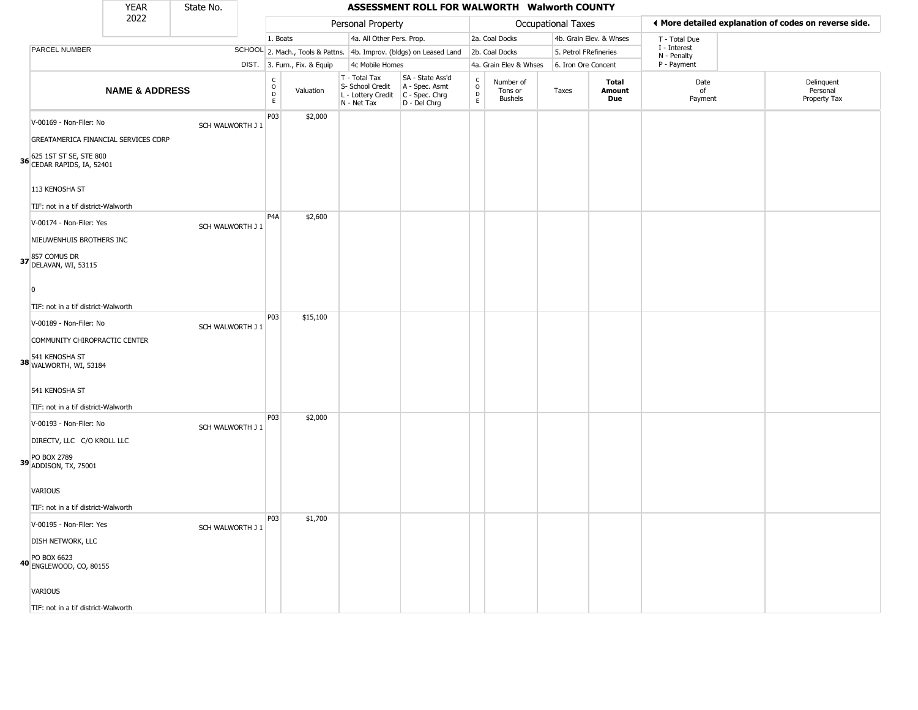|                                                                                                      | <b>YEAR</b>               | State No.        |                                                  |                              |                                                                        | ASSESSMENT ROLL FOR WALWORTH Walworth COUNTY                         |                                    |                                        |                       |                         |                             |                                                       |
|------------------------------------------------------------------------------------------------------|---------------------------|------------------|--------------------------------------------------|------------------------------|------------------------------------------------------------------------|----------------------------------------------------------------------|------------------------------------|----------------------------------------|-----------------------|-------------------------|-----------------------------|-------------------------------------------------------|
|                                                                                                      | 2022                      |                  |                                                  |                              | Personal Property                                                      |                                                                      |                                    |                                        | Occupational Taxes    |                         |                             | I More detailed explanation of codes on reverse side. |
|                                                                                                      |                           |                  | 1. Boats                                         |                              | 4a. All Other Pers. Prop.                                              |                                                                      |                                    | 2a. Coal Docks                         |                       | 4b. Grain Elev. & Whses | T - Total Due               |                                                       |
| PARCEL NUMBER                                                                                        |                           |                  |                                                  |                              |                                                                        | SCHOOL 2. Mach., Tools & Pattns. 4b. Improv. (bldgs) on Leased Land  |                                    | 2b. Coal Docks                         | 5. Petrol FRefineries |                         | I - Interest<br>N - Penalty |                                                       |
|                                                                                                      |                           |                  |                                                  | DIST. 3. Furn., Fix. & Equip | 4c Mobile Homes                                                        |                                                                      |                                    | 4a. Grain Elev & Whses                 | 6. Iron Ore Concent   |                         | P - Payment                 |                                                       |
|                                                                                                      | <b>NAME &amp; ADDRESS</b> |                  | $\mathsf{C}$<br>$\circ$<br>$\mathsf D$<br>$\,$ E | Valuation                    | T - Total Tax<br>S- School Credit<br>L - Lottery Credit<br>N - Net Tax | SA - State Ass'd<br>A - Spec. Asmt<br>C - Spec. Chrg<br>D - Del Chrg | $\int_{0}^{c}$<br>$\mathsf D$<br>E | Number of<br>Tons or<br><b>Bushels</b> | Taxes                 | Total<br>Amount<br>Due  | Date<br>of<br>Payment       | Delinquent<br>Personal<br>Property Tax                |
| V-00169 - Non-Filer: No<br>GREATAMERICA FINANCIAL SERVICES CORP                                      |                           | SCH WALWORTH J 1 | P03                                              | \$2,000                      |                                                                        |                                                                      |                                    |                                        |                       |                         |                             |                                                       |
| 36 625 1ST ST SE, STE 800<br>CEDAR RAPIDS, IA, 52401                                                 |                           |                  |                                                  |                              |                                                                        |                                                                      |                                    |                                        |                       |                         |                             |                                                       |
| 113 KENOSHA ST<br>TIF: not in a tif district-Walworth                                                |                           |                  |                                                  |                              |                                                                        |                                                                      |                                    |                                        |                       |                         |                             |                                                       |
| V-00174 - Non-Filer: Yes<br>NIEUWENHUIS BROTHERS INC                                                 |                           | SCH WALWORTH J 1 | P <sub>4</sub> A                                 | \$2,600                      |                                                                        |                                                                      |                                    |                                        |                       |                         |                             |                                                       |
| 37 857 COMUS DR<br>DELAVAN, WI, 53115                                                                |                           |                  |                                                  |                              |                                                                        |                                                                      |                                    |                                        |                       |                         |                             |                                                       |
| $\Omega$<br>TIF: not in a tif district-Walworth                                                      |                           |                  | P03                                              | \$15,100                     |                                                                        |                                                                      |                                    |                                        |                       |                         |                             |                                                       |
| V-00189 - Non-Filer: No<br>COMMUNITY CHIROPRACTIC CENTER<br>38 541 KENOSHA ST<br>WALWORTH, WI, 53184 |                           | SCH WALWORTH J 1 |                                                  |                              |                                                                        |                                                                      |                                    |                                        |                       |                         |                             |                                                       |
| 541 KENOSHA ST<br>TIF: not in a tif district-Walworth                                                |                           |                  |                                                  |                              |                                                                        |                                                                      |                                    |                                        |                       |                         |                             |                                                       |
| V-00193 - Non-Filer: No<br>DIRECTV, LLC C/O KROLL LLC                                                |                           | SCH WALWORTH J 1 | P03                                              | \$2,000                      |                                                                        |                                                                      |                                    |                                        |                       |                         |                             |                                                       |
| 39 PO BOX 2789<br>ADDISON, TX, 75001                                                                 |                           |                  |                                                  |                              |                                                                        |                                                                      |                                    |                                        |                       |                         |                             |                                                       |
| VARIOUS<br>TIF: not in a tif district-Walworth                                                       |                           |                  |                                                  |                              |                                                                        |                                                                      |                                    |                                        |                       |                         |                             |                                                       |
| V-00195 - Non-Filer: Yes                                                                             |                           | SCH WALWORTH J 1 | P03                                              | \$1,700                      |                                                                        |                                                                      |                                    |                                        |                       |                         |                             |                                                       |
| DISH NETWORK, LLC<br>40 PO BOX 6623<br>ENGLEWOOD, CO, 80155                                          |                           |                  |                                                  |                              |                                                                        |                                                                      |                                    |                                        |                       |                         |                             |                                                       |
| VARIOUS                                                                                              |                           |                  |                                                  |                              |                                                                        |                                                                      |                                    |                                        |                       |                         |                             |                                                       |
| TIF: not in a tif district-Walworth                                                                  |                           |                  |                                                  |                              |                                                                        |                                                                      |                                    |                                        |                       |                         |                             |                                                       |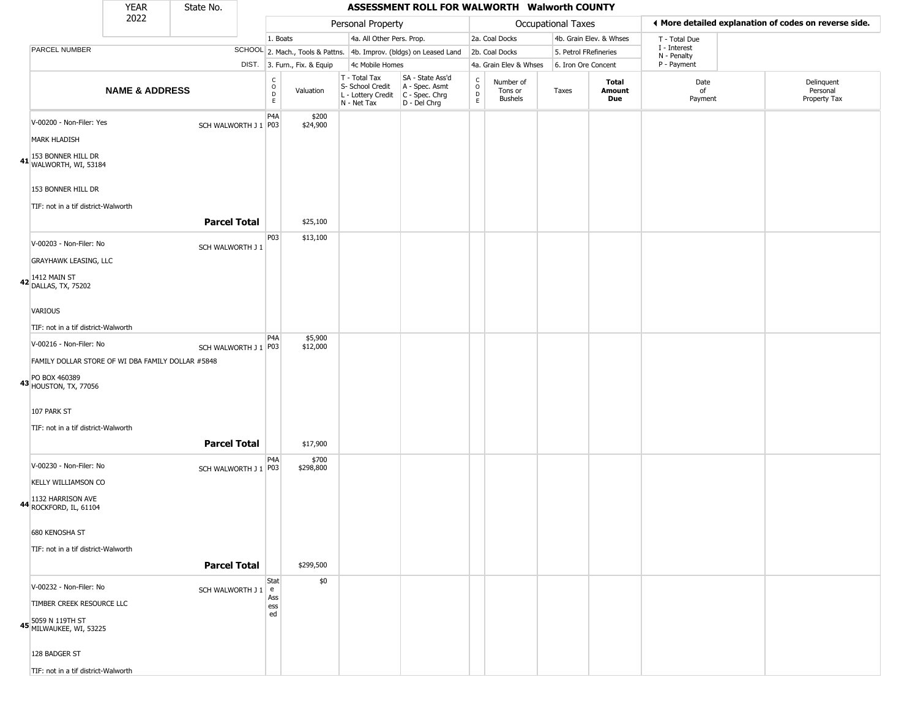|                                                                                             | <b>YEAR</b>               | State No.            |                                                     |                              |                                                                                         | ASSESSMENT ROLL FOR WALWORTH Walworth COUNTY                        |                     |                                        |                     |                         |                             |                                                       |
|---------------------------------------------------------------------------------------------|---------------------------|----------------------|-----------------------------------------------------|------------------------------|-----------------------------------------------------------------------------------------|---------------------------------------------------------------------|---------------------|----------------------------------------|---------------------|-------------------------|-----------------------------|-------------------------------------------------------|
|                                                                                             | 2022                      |                      |                                                     |                              | Personal Property                                                                       |                                                                     |                     |                                        | Occupational Taxes  |                         |                             | ◀ More detailed explanation of codes on reverse side. |
|                                                                                             |                           |                      | 1. Boats                                            |                              | 4a. All Other Pers. Prop.                                                               |                                                                     |                     | 2a. Coal Docks                         |                     | 4b. Grain Elev. & Whses | T - Total Due               |                                                       |
| <b>PARCEL NUMBER</b>                                                                        |                           |                      |                                                     |                              |                                                                                         | SCHOOL 2. Mach., Tools & Pattns. 4b. Improv. (bldgs) on Leased Land |                     | 2b. Coal Docks                         |                     | 5. Petrol FRefineries   | I - Interest<br>N - Penalty |                                                       |
|                                                                                             |                           |                      |                                                     | DIST. 3. Furn., Fix. & Equip | 4c Mobile Homes                                                                         |                                                                     |                     | 4a. Grain Elev & Whses                 | 6. Iron Ore Concent |                         | P - Payment                 |                                                       |
|                                                                                             | <b>NAME &amp; ADDRESS</b> |                      | $_{\rm o}^{\rm c}$<br>$\overline{D}$<br>$\mathsf E$ | Valuation                    | T - Total Tax<br>S- School Credit<br>L - Lottery Credit   C - Spec. Chrg<br>N - Net Tax | SA - State Ass'd<br>A - Spec. Asmt<br>D - Del Chrg                  | $\overline{0}$<br>E | Number of<br>Tons or<br><b>Bushels</b> | Taxes               | Total<br>Amount<br>Due  | Date<br>of<br>Payment       | Delinquent<br>Personal<br>Property Tax                |
| V-00200 - Non-Filer: Yes<br><b>MARK HLADISH</b>                                             |                           | SCH WALWORTH J 1 P03 | P <sub>4</sub> A                                    | \$200<br>\$24,900            |                                                                                         |                                                                     |                     |                                        |                     |                         |                             |                                                       |
| 41 153 BONNER HILL DR<br>WALWORTH, WI, 53184                                                |                           |                      |                                                     |                              |                                                                                         |                                                                     |                     |                                        |                     |                         |                             |                                                       |
| 153 BONNER HILL DR                                                                          |                           |                      |                                                     |                              |                                                                                         |                                                                     |                     |                                        |                     |                         |                             |                                                       |
| TIF: not in a tif district-Walworth                                                         |                           | <b>Parcel Total</b>  |                                                     | \$25,100                     |                                                                                         |                                                                     |                     |                                        |                     |                         |                             |                                                       |
| V-00203 - Non-Filer: No                                                                     |                           | SCH WALWORTH J 1     | P03                                                 | \$13,100                     |                                                                                         |                                                                     |                     |                                        |                     |                         |                             |                                                       |
| <b>GRAYHAWK LEASING, LLC</b><br>42 1412 MAIN ST<br>DALLAS, TX, 75202                        |                           |                      |                                                     |                              |                                                                                         |                                                                     |                     |                                        |                     |                         |                             |                                                       |
|                                                                                             |                           |                      |                                                     |                              |                                                                                         |                                                                     |                     |                                        |                     |                         |                             |                                                       |
| VARIOUS                                                                                     |                           |                      |                                                     |                              |                                                                                         |                                                                     |                     |                                        |                     |                         |                             |                                                       |
| TIF: not in a tif district-Walworth                                                         |                           |                      | P <sub>4</sub> A                                    | \$5,900                      |                                                                                         |                                                                     |                     |                                        |                     |                         |                             |                                                       |
| V-00216 - Non-Filer: No                                                                     |                           | SCH WALWORTH J 1 P03 |                                                     | \$12,000                     |                                                                                         |                                                                     |                     |                                        |                     |                         |                             |                                                       |
| FAMILY DOLLAR STORE OF WI DBA FAMILY DOLLAR #5848<br>43 PO BOX 460389<br>HOUSTON, TX, 77056 |                           |                      |                                                     |                              |                                                                                         |                                                                     |                     |                                        |                     |                         |                             |                                                       |
| 107 PARK ST                                                                                 |                           |                      |                                                     |                              |                                                                                         |                                                                     |                     |                                        |                     |                         |                             |                                                       |
| TIF: not in a tif district-Walworth                                                         |                           | <b>Parcel Total</b>  |                                                     | \$17,900                     |                                                                                         |                                                                     |                     |                                        |                     |                         |                             |                                                       |
| V-00230 - Non-Filer: No<br><b>KELLY WILLIAMSON CO</b>                                       |                           | SCH WALWORTH J 1 P03 | P4A                                                 | \$700<br>\$298,800           |                                                                                         |                                                                     |                     |                                        |                     |                         |                             |                                                       |
| 1132 HARRISON AVE<br>44 ROCKFORD, IL, 61104                                                 |                           |                      |                                                     |                              |                                                                                         |                                                                     |                     |                                        |                     |                         |                             |                                                       |
| 680 KENOSHA ST                                                                              |                           |                      |                                                     |                              |                                                                                         |                                                                     |                     |                                        |                     |                         |                             |                                                       |
| TIF: not in a tif district-Walworth                                                         |                           | <b>Parcel Total</b>  |                                                     | \$299,500                    |                                                                                         |                                                                     |                     |                                        |                     |                         |                             |                                                       |
| V-00232 - Non-Filer: No                                                                     |                           | SCH WALWORTH J 1     | Stat<br>e                                           | \$0                          |                                                                                         |                                                                     |                     |                                        |                     |                         |                             |                                                       |
| TIMBER CREEK RESOURCE LLC                                                                   |                           |                      | Ass<br>ess<br>ed                                    |                              |                                                                                         |                                                                     |                     |                                        |                     |                         |                             |                                                       |
| 45 5059 N 119TH ST<br>45 MILWAUKEE, WI, 53225                                               |                           |                      |                                                     |                              |                                                                                         |                                                                     |                     |                                        |                     |                         |                             |                                                       |
| 128 BADGER ST                                                                               |                           |                      |                                                     |                              |                                                                                         |                                                                     |                     |                                        |                     |                         |                             |                                                       |
| TIF: not in a tif district-Walworth                                                         |                           |                      |                                                     |                              |                                                                                         |                                                                     |                     |                                        |                     |                         |                             |                                                       |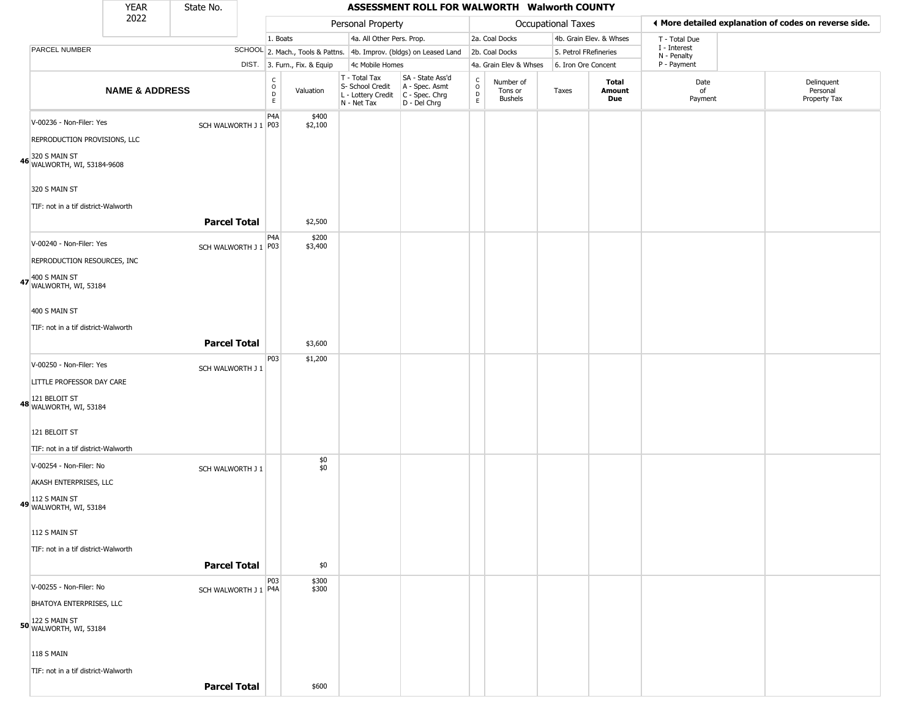|                                                                                                                                                          | <b>YEAR</b>               | State No.            |                                           |                              |                                                                        | ASSESSMENT ROLL FOR WALWORTH Walworth COUNTY                         |                                                 |                                        |                       |                         |                             |                                                       |
|----------------------------------------------------------------------------------------------------------------------------------------------------------|---------------------------|----------------------|-------------------------------------------|------------------------------|------------------------------------------------------------------------|----------------------------------------------------------------------|-------------------------------------------------|----------------------------------------|-----------------------|-------------------------|-----------------------------|-------------------------------------------------------|
|                                                                                                                                                          | 2022                      |                      |                                           |                              | Personal Property                                                      |                                                                      |                                                 |                                        | Occupational Taxes    |                         |                             | ♦ More detailed explanation of codes on reverse side. |
|                                                                                                                                                          |                           |                      | 1. Boats                                  |                              | 4a. All Other Pers. Prop.                                              |                                                                      |                                                 | 2a. Coal Docks                         |                       | 4b. Grain Elev. & Whses | T - Total Due               |                                                       |
| PARCEL NUMBER                                                                                                                                            |                           |                      |                                           |                              |                                                                        | SCHOOL 2. Mach., Tools & Pattns. 4b. Improv. (bldgs) on Leased Land  |                                                 | 2b. Coal Docks                         | 5. Petrol FRefineries |                         | I - Interest<br>N - Penalty |                                                       |
|                                                                                                                                                          |                           |                      |                                           | DIST. 3. Furn., Fix. & Equip | 4c Mobile Homes                                                        |                                                                      |                                                 | 4a. Grain Elev & Whses                 | 6. Iron Ore Concent   |                         | P - Payment                 |                                                       |
|                                                                                                                                                          | <b>NAME &amp; ADDRESS</b> |                      | $_{\rm o}^{\rm c}$<br>$\overline{D}$<br>E | Valuation                    | T - Total Tax<br>S- School Credit<br>L - Lottery Credit<br>N - Net Tax | SA - State Ass'd<br>A - Spec. Asmt<br>C - Spec. Chrg<br>D - Del Chrg | $\begin{array}{c} C \\ C \\ D \\ E \end{array}$ | Number of<br>Tons or<br><b>Bushels</b> | Taxes                 | Total<br>Amount<br>Due  | Date<br>of<br>Payment       | Delinquent<br>Personal<br>Property Tax                |
| V-00236 - Non-Filer: Yes<br>REPRODUCTION PROVISIONS, LLC                                                                                                 |                           | SCH WALWORTH J 1 P03 | P <sub>4</sub> A                          | \$400<br>\$2,100             |                                                                        |                                                                      |                                                 |                                        |                       |                         |                             |                                                       |
| 46 320 S MAIN ST<br>46 WALWORTH, WI, 53184-9608<br>320 S MAIN ST<br>TIF: not in a tif district-Walworth                                                  |                           |                      |                                           |                              |                                                                        |                                                                      |                                                 |                                        |                       |                         |                             |                                                       |
|                                                                                                                                                          |                           | <b>Parcel Total</b>  |                                           | \$2,500                      |                                                                        |                                                                      |                                                 |                                        |                       |                         |                             |                                                       |
| V-00240 - Non-Filer: Yes<br>REPRODUCTION RESOURCES, INC<br>47 400 S MAIN ST<br>WALWORTH, WI, 53184                                                       |                           | SCH WALWORTH J 1 P03 | P4A                                       | \$200<br>\$3,400             |                                                                        |                                                                      |                                                 |                                        |                       |                         |                             |                                                       |
| 400 S MAIN ST<br>TIF: not in a tif district-Walworth                                                                                                     |                           | <b>Parcel Total</b>  |                                           | \$3,600                      |                                                                        |                                                                      |                                                 |                                        |                       |                         |                             |                                                       |
| V-00250 - Non-Filer: Yes<br>LITTLE PROFESSOR DAY CARE<br>48 121 BELOIT ST<br>WALWORTH, WI, 53184<br>121 BELOIT ST<br>TIF: not in a tif district-Walworth |                           | SCH WALWORTH J 1     | P03                                       | \$1,200                      |                                                                        |                                                                      |                                                 |                                        |                       |                         |                             |                                                       |
| V-00254 - Non-Filer: No<br>AKASH ENTERPRISES, LLC<br>112 S MAIN ST<br>49 WALWORTH, WI, 53184<br>112 S MAIN ST<br>TIF: not in a tif district-Walworth     |                           | SCH WALWORTH J 1     |                                           | \$0<br>\$0                   |                                                                        |                                                                      |                                                 |                                        |                       |                         |                             |                                                       |
|                                                                                                                                                          |                           | <b>Parcel Total</b>  |                                           | \$0                          |                                                                        |                                                                      |                                                 |                                        |                       |                         |                             |                                                       |
| V-00255 - Non-Filer: No<br>BHATOYA ENTERPRISES, LLC<br>50 122 S MAIN ST<br>WALWORTH, WI, 53184                                                           |                           | SCH WALWORTH J 1 P4A | P03                                       | \$300<br>\$300               |                                                                        |                                                                      |                                                 |                                        |                       |                         |                             |                                                       |
| <b>118 S MAIN</b><br>TIF: not in a tif district-Walworth                                                                                                 |                           | <b>Parcel Total</b>  |                                           | \$600                        |                                                                        |                                                                      |                                                 |                                        |                       |                         |                             |                                                       |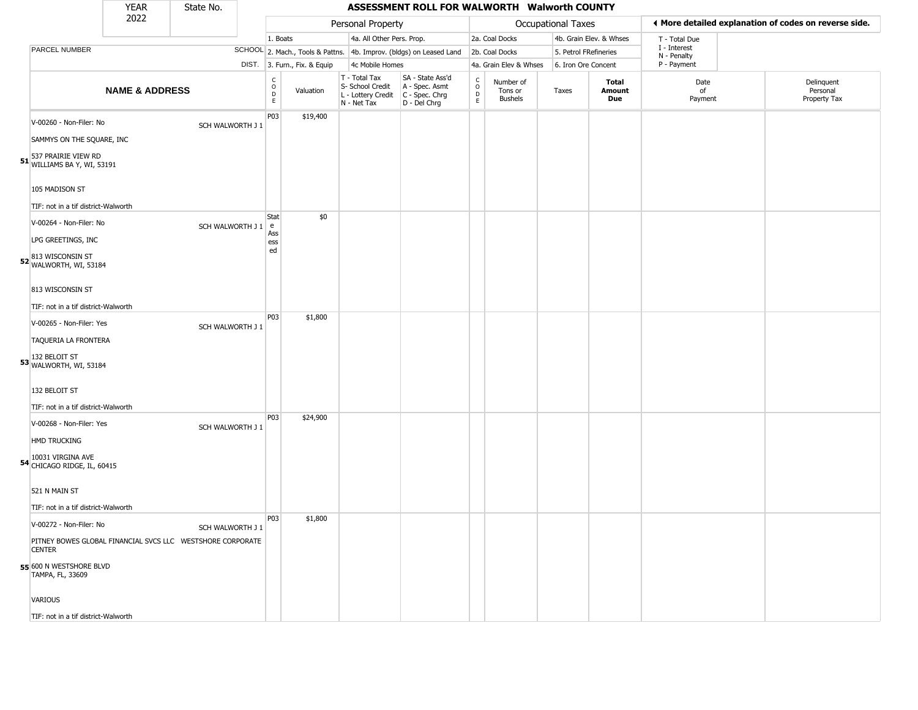|                                                                                 | <b>YEAR</b>               | State No.          |                                  |                              |                                                                        | ASSESSMENT ROLL FOR WALWORTH Walworth COUNTY                         |                                              |                                        |                       |                         |                             |                                                       |  |
|---------------------------------------------------------------------------------|---------------------------|--------------------|----------------------------------|------------------------------|------------------------------------------------------------------------|----------------------------------------------------------------------|----------------------------------------------|----------------------------------------|-----------------------|-------------------------|-----------------------------|-------------------------------------------------------|--|
|                                                                                 | 2022                      |                    |                                  |                              | Personal Property                                                      |                                                                      |                                              |                                        | Occupational Taxes    |                         |                             | ♦ More detailed explanation of codes on reverse side. |  |
|                                                                                 |                           |                    | 1. Boats                         |                              | 4a. All Other Pers. Prop.                                              |                                                                      |                                              | 2a. Coal Docks                         |                       | 4b. Grain Elev. & Whses | T - Total Due               |                                                       |  |
| PARCEL NUMBER                                                                   |                           |                    |                                  |                              |                                                                        | SCHOOL 2. Mach., Tools & Pattns. 4b. Improv. (bldgs) on Leased Land  |                                              | 2b. Coal Docks                         | 5. Petrol FRefineries |                         | I - Interest<br>N - Penalty |                                                       |  |
|                                                                                 |                           |                    |                                  | DIST. 3. Furn., Fix. & Equip | 4c Mobile Homes                                                        |                                                                      |                                              | 4a. Grain Elev & Whses                 | 6. Iron Ore Concent   |                         | P - Payment                 |                                                       |  |
|                                                                                 | <b>NAME &amp; ADDRESS</b> |                    | C<br>$\circ$<br>$\mathsf D$<br>E | Valuation                    | T - Total Tax<br>S- School Credit<br>L - Lottery Credit<br>N - Net Tax | SA - State Ass'd<br>A - Spec. Asmt<br>C - Spec. Chrg<br>D - Del Chrg | $\int_{0}^{c}$<br>$\mathsf D$<br>$\mathsf E$ | Number of<br>Tons or<br><b>Bushels</b> | Taxes                 | Total<br>Amount<br>Due  | Date<br>of<br>Payment       | Delinquent<br>Personal<br>Property Tax                |  |
| V-00260 - Non-Filer: No                                                         |                           | SCH WALWORTH J 1   | P03                              | \$19,400                     |                                                                        |                                                                      |                                              |                                        |                       |                         |                             |                                                       |  |
| SAMMYS ON THE SQUARE, INC<br>51 537 PRAIRIE VIEW RD<br>WILLIAMS BA Y, WI, 53191 |                           |                    |                                  |                              |                                                                        |                                                                      |                                              |                                        |                       |                         |                             |                                                       |  |
| 105 MADISON ST<br>TIF: not in a tif district-Walworth                           |                           |                    |                                  |                              |                                                                        |                                                                      |                                              |                                        |                       |                         |                             |                                                       |  |
| V-00264 - Non-Filer: No                                                         |                           | SCH WALWORTH J 1 e | <b>Stat</b>                      | \$0                          |                                                                        |                                                                      |                                              |                                        |                       |                         |                             |                                                       |  |
| LPG GREETINGS, INC                                                              |                           |                    | Ass<br>ess<br>ed                 |                              |                                                                        |                                                                      |                                              |                                        |                       |                         |                             |                                                       |  |
| 52 813 WISCONSIN ST<br>WALWORTH, WI, 53184                                      |                           |                    |                                  |                              |                                                                        |                                                                      |                                              |                                        |                       |                         |                             |                                                       |  |
| 813 WISCONSIN ST                                                                |                           |                    |                                  |                              |                                                                        |                                                                      |                                              |                                        |                       |                         |                             |                                                       |  |
| TIF: not in a tif district-Walworth                                             |                           |                    | P03                              | \$1,800                      |                                                                        |                                                                      |                                              |                                        |                       |                         |                             |                                                       |  |
| V-00265 - Non-Filer: Yes                                                        |                           | SCH WALWORTH J 1   |                                  |                              |                                                                        |                                                                      |                                              |                                        |                       |                         |                             |                                                       |  |
| TAQUERIA LA FRONTERA                                                            |                           |                    |                                  |                              |                                                                        |                                                                      |                                              |                                        |                       |                         |                             |                                                       |  |
| 53 NALWORTH, WI, 53184                                                          |                           |                    |                                  |                              |                                                                        |                                                                      |                                              |                                        |                       |                         |                             |                                                       |  |
| 132 BELOIT ST                                                                   |                           |                    |                                  |                              |                                                                        |                                                                      |                                              |                                        |                       |                         |                             |                                                       |  |
| TIF: not in a tif district-Walworth                                             |                           |                    | P <sub>0</sub> 3                 | \$24,900                     |                                                                        |                                                                      |                                              |                                        |                       |                         |                             |                                                       |  |
| V-00268 - Non-Filer: Yes<br><b>HMD TRUCKING</b>                                 |                           | SCH WALWORTH J 1   |                                  |                              |                                                                        |                                                                      |                                              |                                        |                       |                         |                             |                                                       |  |
| 10031 VIRGINA AVE<br>54 CHICAGO RIDGE, IL, 60415                                |                           |                    |                                  |                              |                                                                        |                                                                      |                                              |                                        |                       |                         |                             |                                                       |  |
| 521 N MAIN ST                                                                   |                           |                    |                                  |                              |                                                                        |                                                                      |                                              |                                        |                       |                         |                             |                                                       |  |
| TIF: not in a tif district-Walworth                                             |                           |                    |                                  |                              |                                                                        |                                                                      |                                              |                                        |                       |                         |                             |                                                       |  |
| V-00272 - Non-Filer: No                                                         |                           | SCH WALWORTH J 1   | <b>P03</b>                       | \$1,800                      |                                                                        |                                                                      |                                              |                                        |                       |                         |                             |                                                       |  |
| PITNEY BOWES GLOBAL FINANCIAL SVCS LLC  WESTSHORE CORPORATE<br><b>CENTER</b>    |                           |                    |                                  |                              |                                                                        |                                                                      |                                              |                                        |                       |                         |                             |                                                       |  |
| 55 600 N WESTSHORE BLVD<br>TAMPA, FL, 33609                                     |                           |                    |                                  |                              |                                                                        |                                                                      |                                              |                                        |                       |                         |                             |                                                       |  |
| VARIOUS                                                                         |                           |                    |                                  |                              |                                                                        |                                                                      |                                              |                                        |                       |                         |                             |                                                       |  |
| TIF: not in a tif district-Walworth                                             |                           |                    |                                  |                              |                                                                        |                                                                      |                                              |                                        |                       |                         |                             |                                                       |  |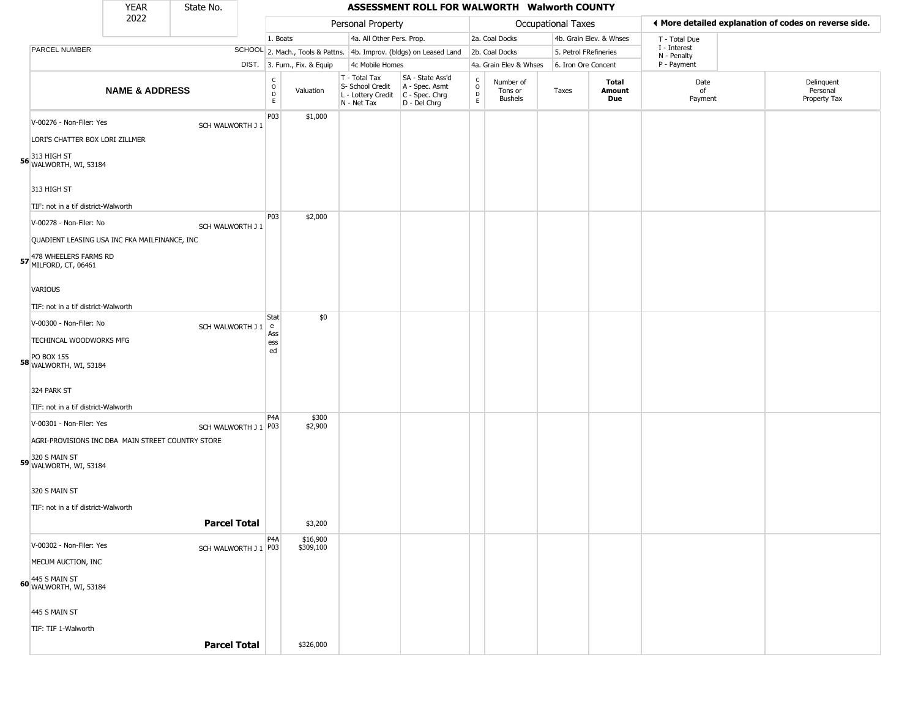|                                                                               | <b>YEAR</b>               | State No.            |                                                |                              |                                                                        | ASSESSMENT ROLL FOR WALWORTH Walworth COUNTY                         |                  |                                        |                       |                         |                             |                                                       |
|-------------------------------------------------------------------------------|---------------------------|----------------------|------------------------------------------------|------------------------------|------------------------------------------------------------------------|----------------------------------------------------------------------|------------------|----------------------------------------|-----------------------|-------------------------|-----------------------------|-------------------------------------------------------|
|                                                                               | 2022                      |                      |                                                |                              | Personal Property                                                      |                                                                      |                  |                                        | Occupational Taxes    |                         |                             | ♦ More detailed explanation of codes on reverse side. |
|                                                                               |                           |                      | 1. Boats                                       |                              | 4a. All Other Pers. Prop.                                              |                                                                      |                  | 2a. Coal Docks                         |                       | 4b. Grain Elev. & Whses | T - Total Due               |                                                       |
| PARCEL NUMBER                                                                 |                           |                      |                                                |                              |                                                                        | SCHOOL 2. Mach., Tools & Pattns. 4b. Improv. (bldgs) on Leased Land  |                  | 2b. Coal Docks                         | 5. Petrol FRefineries |                         | I - Interest<br>N - Penalty |                                                       |
|                                                                               |                           |                      |                                                | DIST. 3. Furn., Fix. & Equip | 4c Mobile Homes                                                        |                                                                      |                  | 4a. Grain Elev & Whses                 | 6. Iron Ore Concent   |                         | P - Payment                 |                                                       |
|                                                                               | <b>NAME &amp; ADDRESS</b> |                      | $\begin{matrix} 0 \\ 0 \\ D \end{matrix}$<br>E | Valuation                    | T - Total Tax<br>S- School Credit<br>L - Lottery Credit<br>N - Net Tax | SA - State Ass'd<br>A - Spec. Asmt<br>C - Spec. Chrg<br>D - Del Chrg | C<br>D<br>D<br>E | Number of<br>Tons or<br><b>Bushels</b> | Taxes                 | Total<br>Amount<br>Due  | Date<br>of<br>Payment       | Delinquent<br>Personal<br>Property Tax                |
| V-00276 - Non-Filer: Yes<br>LORI'S CHATTER BOX LORI ZILLMER                   |                           | SCH WALWORTH J 1     | P03                                            | \$1,000                      |                                                                        |                                                                      |                  |                                        |                       |                         |                             |                                                       |
| 313 HIGH ST<br><b>56</b> WALWORTH, WI, 53184                                  |                           |                      |                                                |                              |                                                                        |                                                                      |                  |                                        |                       |                         |                             |                                                       |
| 313 HIGH ST                                                                   |                           |                      |                                                |                              |                                                                        |                                                                      |                  |                                        |                       |                         |                             |                                                       |
| TIF: not in a tif district-Walworth                                           |                           |                      | P03                                            | \$2,000                      |                                                                        |                                                                      |                  |                                        |                       |                         |                             |                                                       |
| V-00278 - Non-Filer: No                                                       |                           | SCH WALWORTH J 1     |                                                |                              |                                                                        |                                                                      |                  |                                        |                       |                         |                             |                                                       |
| QUADIENT LEASING USA INC FKA MAILFINANCE, INC                                 |                           |                      |                                                |                              |                                                                        |                                                                      |                  |                                        |                       |                         |                             |                                                       |
| 478 WHEELERS FARMS RD<br>57 MILFORD, CT, 06461                                |                           |                      |                                                |                              |                                                                        |                                                                      |                  |                                        |                       |                         |                             |                                                       |
| <b>VARIOUS</b>                                                                |                           |                      |                                                |                              |                                                                        |                                                                      |                  |                                        |                       |                         |                             |                                                       |
| TIF: not in a tif district-Walworth                                           |                           |                      |                                                |                              |                                                                        |                                                                      |                  |                                        |                       |                         |                             |                                                       |
| V-00300 - Non-Filer: No                                                       |                           | SCH WALWORTH J 1 e   | Stat                                           | \$0                          |                                                                        |                                                                      |                  |                                        |                       |                         |                             |                                                       |
| TECHINCAL WOODWORKS MFG                                                       |                           |                      | Ass<br>ess                                     |                              |                                                                        |                                                                      |                  |                                        |                       |                         |                             |                                                       |
| <b>PO BOX 155</b><br>58 WALWORTH, WI, 53184                                   |                           |                      | ed                                             |                              |                                                                        |                                                                      |                  |                                        |                       |                         |                             |                                                       |
| 324 PARK ST                                                                   |                           |                      |                                                |                              |                                                                        |                                                                      |                  |                                        |                       |                         |                             |                                                       |
| TIF: not in a tif district-Walworth                                           |                           |                      |                                                |                              |                                                                        |                                                                      |                  |                                        |                       |                         |                             |                                                       |
| V-00301 - Non-Filer: Yes<br>AGRI-PROVISIONS INC DBA MAIN STREET COUNTRY STORE |                           | SCH WALWORTH J 1 P03 | P <sub>4</sub> A                               | \$300<br>\$2,900             |                                                                        |                                                                      |                  |                                        |                       |                         |                             |                                                       |
|                                                                               |                           |                      |                                                |                              |                                                                        |                                                                      |                  |                                        |                       |                         |                             |                                                       |
| 59 320 S MAIN ST<br>WALWORTH, WI, 53184                                       |                           |                      |                                                |                              |                                                                        |                                                                      |                  |                                        |                       |                         |                             |                                                       |
| 320 S MAIN ST                                                                 |                           |                      |                                                |                              |                                                                        |                                                                      |                  |                                        |                       |                         |                             |                                                       |
| TIF: not in a tif district-Walworth                                           |                           | <b>Parcel Total</b>  |                                                | \$3,200                      |                                                                        |                                                                      |                  |                                        |                       |                         |                             |                                                       |
|                                                                               |                           |                      | P <sub>4</sub> A                               | \$16,900                     |                                                                        |                                                                      |                  |                                        |                       |                         |                             |                                                       |
| V-00302 - Non-Filer: Yes                                                      |                           | SCH WALWORTH J 1 P03 |                                                | \$309,100                    |                                                                        |                                                                      |                  |                                        |                       |                         |                             |                                                       |
| MECUM AUCTION, INC                                                            |                           |                      |                                                |                              |                                                                        |                                                                      |                  |                                        |                       |                         |                             |                                                       |
| 60 445 S MAIN ST<br>WALWORTH, WI, 53184                                       |                           |                      |                                                |                              |                                                                        |                                                                      |                  |                                        |                       |                         |                             |                                                       |
| 445 S MAIN ST                                                                 |                           |                      |                                                |                              |                                                                        |                                                                      |                  |                                        |                       |                         |                             |                                                       |
| TIF: TIF 1-Walworth                                                           |                           |                      |                                                |                              |                                                                        |                                                                      |                  |                                        |                       |                         |                             |                                                       |
|                                                                               |                           | <b>Parcel Total</b>  |                                                | \$326,000                    |                                                                        |                                                                      |                  |                                        |                       |                         |                             |                                                       |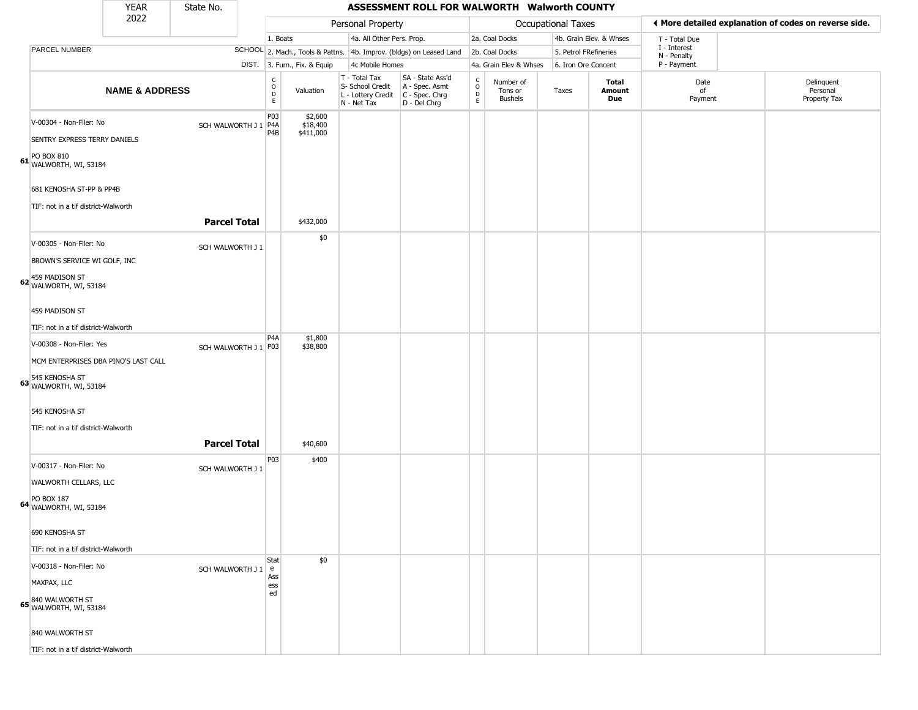|                                                    | <b>YEAR</b>                          | State No.            |                                   |                                  |                                                                                         | ASSESSMENT ROLL FOR WALWORTH Walworth COUNTY                        |                  |                                        |                           |                         |                             |                                                       |
|----------------------------------------------------|--------------------------------------|----------------------|-----------------------------------|----------------------------------|-----------------------------------------------------------------------------------------|---------------------------------------------------------------------|------------------|----------------------------------------|---------------------------|-------------------------|-----------------------------|-------------------------------------------------------|
|                                                    | 2022                                 |                      |                                   |                                  | Personal Property                                                                       |                                                                     |                  |                                        | <b>Occupational Taxes</b> |                         |                             | ◀ More detailed explanation of codes on reverse side. |
|                                                    |                                      |                      | 1. Boats                          |                                  | 4a. All Other Pers. Prop.                                                               |                                                                     |                  | 2a. Coal Docks                         |                           | 4b. Grain Elev. & Whses | T - Total Due               |                                                       |
| PARCEL NUMBER                                      |                                      |                      |                                   |                                  |                                                                                         | SCHOOL 2. Mach., Tools & Pattns. 4b. Improv. (bldgs) on Leased Land |                  | 2b. Coal Docks                         | 5. Petrol FRefineries     |                         | I - Interest<br>N - Penalty |                                                       |
|                                                    |                                      |                      |                                   | DIST. 3. Furn., Fix. & Equip     | 4c Mobile Homes                                                                         |                                                                     |                  | 4a. Grain Elev & Whses                 | 6. Iron Ore Concent       |                         | P - Payment                 |                                                       |
|                                                    | <b>NAME &amp; ADDRESS</b>            |                      | $\mathsf{C}$<br>$\circ$<br>D<br>E | Valuation                        | T - Total Tax<br>S- School Credit<br>L - Lottery Credit   C - Spec. Chrg<br>N - Net Tax | SA - State Ass'd<br>A - Spec. Asmt<br>D - Del Chrg                  | C<br>D<br>D<br>E | Number of<br>Tons or<br><b>Bushels</b> | Taxes                     | Total<br>Amount<br>Due  | Date<br>of<br>Payment       | Delinquent<br>Personal<br>Property Tax                |
| V-00304 - Non-Filer: No                            | SENTRY EXPRESS TERRY DANIELS         | SCH WALWORTH J 1 P4A | P03<br>P4B                        | \$2,600<br>\$18,400<br>\$411,000 |                                                                                         |                                                                     |                  |                                        |                           |                         |                             |                                                       |
| PO BOX 810<br>61 WALWORTH, WI, 53184               |                                      |                      |                                   |                                  |                                                                                         |                                                                     |                  |                                        |                           |                         |                             |                                                       |
|                                                    | 681 KENOSHA ST-PP & PP4B             |                      |                                   |                                  |                                                                                         |                                                                     |                  |                                        |                           |                         |                             |                                                       |
|                                                    | TIF: not in a tif district-Walworth  |                      |                                   |                                  |                                                                                         |                                                                     |                  |                                        |                           |                         |                             |                                                       |
|                                                    |                                      | <b>Parcel Total</b>  |                                   | \$432,000                        |                                                                                         |                                                                     |                  |                                        |                           |                         |                             |                                                       |
| V-00305 - Non-Filer: No                            |                                      | SCH WALWORTH J 1     |                                   | \$0                              |                                                                                         |                                                                     |                  |                                        |                           |                         |                             |                                                       |
|                                                    | BROWN'S SERVICE WI GOLF, INC         |                      |                                   |                                  |                                                                                         |                                                                     |                  |                                        |                           |                         |                             |                                                       |
| 459 MADISON ST<br>62 WALWORTH, WI, 53184           |                                      |                      |                                   |                                  |                                                                                         |                                                                     |                  |                                        |                           |                         |                             |                                                       |
| 459 MADISON ST                                     |                                      |                      |                                   |                                  |                                                                                         |                                                                     |                  |                                        |                           |                         |                             |                                                       |
|                                                    | TIF: not in a tif district-Walworth  |                      |                                   |                                  |                                                                                         |                                                                     |                  |                                        |                           |                         |                             |                                                       |
| V-00308 - Non-Filer: Yes                           |                                      | SCH WALWORTH J 1 P03 | P4A                               | \$1,800<br>\$38,800              |                                                                                         |                                                                     |                  |                                        |                           |                         |                             |                                                       |
|                                                    | MCM ENTERPRISES DBA PINO'S LAST CALL |                      |                                   |                                  |                                                                                         |                                                                     |                  |                                        |                           |                         |                             |                                                       |
| 545 KENOSHA ST<br>63 WALWORTH, WI, 53184           |                                      |                      |                                   |                                  |                                                                                         |                                                                     |                  |                                        |                           |                         |                             |                                                       |
| 545 KENOSHA ST                                     |                                      |                      |                                   |                                  |                                                                                         |                                                                     |                  |                                        |                           |                         |                             |                                                       |
|                                                    | TIF: not in a tif district-Walworth  |                      |                                   |                                  |                                                                                         |                                                                     |                  |                                        |                           |                         |                             |                                                       |
|                                                    |                                      | <b>Parcel Total</b>  |                                   | \$40,600                         |                                                                                         |                                                                     |                  |                                        |                           |                         |                             |                                                       |
| V-00317 - Non-Filer: No                            |                                      | SCH WALWORTH J 1     | P03                               | \$400                            |                                                                                         |                                                                     |                  |                                        |                           |                         |                             |                                                       |
|                                                    | WALWORTH CELLARS, LLC                |                      |                                   |                                  |                                                                                         |                                                                     |                  |                                        |                           |                         |                             |                                                       |
| <b>PO BOX 187</b><br><b>64</b> WALWORTH, WI, 53184 |                                      |                      |                                   |                                  |                                                                                         |                                                                     |                  |                                        |                           |                         |                             |                                                       |
| 690 KENOSHA ST                                     |                                      |                      |                                   |                                  |                                                                                         |                                                                     |                  |                                        |                           |                         |                             |                                                       |
|                                                    | TIF: not in a tif district-Walworth  |                      |                                   |                                  |                                                                                         |                                                                     |                  |                                        |                           |                         |                             |                                                       |
| V-00318 - Non-Filer: No                            |                                      |                      | Stat                              | \$0                              |                                                                                         |                                                                     |                  |                                        |                           |                         |                             |                                                       |
| MAXPAX, LLC                                        |                                      | SCH WALWORTH J 1   e | Ass<br>ess                        |                                  |                                                                                         |                                                                     |                  |                                        |                           |                         |                             |                                                       |
| 840 WALWORTH ST<br>65 WALWORTH, WI, 53184          |                                      |                      | ed                                |                                  |                                                                                         |                                                                     |                  |                                        |                           |                         |                             |                                                       |
| 840 WALWORTH ST                                    |                                      |                      |                                   |                                  |                                                                                         |                                                                     |                  |                                        |                           |                         |                             |                                                       |
|                                                    | TIF: not in a tif district-Walworth  |                      |                                   |                                  |                                                                                         |                                                                     |                  |                                        |                           |                         |                             |                                                       |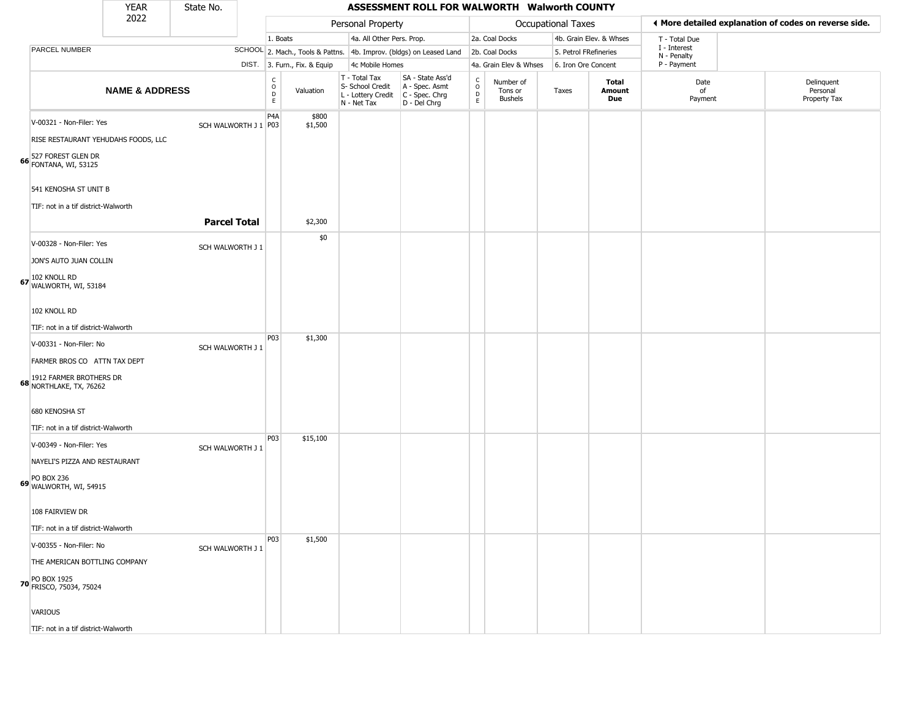|                                                           | <b>YEAR</b>               | State No.            |                                                            |                              |                                                                        | ASSESSMENT ROLL FOR WALWORTH Walworth COUNTY                         |                                |                                        |                           |                         |                             |                                                       |
|-----------------------------------------------------------|---------------------------|----------------------|------------------------------------------------------------|------------------------------|------------------------------------------------------------------------|----------------------------------------------------------------------|--------------------------------|----------------------------------------|---------------------------|-------------------------|-----------------------------|-------------------------------------------------------|
|                                                           | 2022                      |                      |                                                            |                              | Personal Property                                                      |                                                                      |                                |                                        | <b>Occupational Taxes</b> |                         |                             | ♦ More detailed explanation of codes on reverse side. |
|                                                           |                           |                      | 1. Boats                                                   |                              | 4a. All Other Pers. Prop.                                              |                                                                      |                                | 2a. Coal Docks                         |                           | 4b. Grain Elev. & Whses | T - Total Due               |                                                       |
| PARCEL NUMBER                                             |                           |                      |                                                            |                              |                                                                        | SCHOOL 2. Mach., Tools & Pattns. 4b. Improv. (bldgs) on Leased Land  |                                | 2b. Coal Docks                         | 5. Petrol FRefineries     |                         | I - Interest<br>N - Penalty |                                                       |
|                                                           |                           |                      |                                                            | DIST. 3. Furn., Fix. & Equip | 4c Mobile Homes                                                        |                                                                      |                                | 4a. Grain Elev & Whses                 | 6. Iron Ore Concent       |                         | P - Payment                 |                                                       |
|                                                           | <b>NAME &amp; ADDRESS</b> |                      | $\begin{smallmatrix} C\\ O\\ O\\ D \end{smallmatrix}$<br>E | Valuation                    | T - Total Tax<br>S- School Credit<br>L - Lottery Credit<br>N - Net Tax | SA - State Ass'd<br>A - Spec. Asmt<br>C - Spec. Chrg<br>D - Del Chrg | $\rm _o^C$<br>D<br>$\mathsf E$ | Number of<br>Tons or<br><b>Bushels</b> | Taxes                     | Total<br>Amount<br>Due  | Date<br>of<br>Payment       | Delinquent<br>Personal<br>Property Tax                |
| V-00321 - Non-Filer: Yes                                  |                           | SCH WALWORTH J 1 P03 | P <sub>4</sub> A                                           | \$800<br>\$1,500             |                                                                        |                                                                      |                                |                                        |                           |                         |                             |                                                       |
| RISE RESTAURANT YEHUDAHS FOODS, LLC                       |                           |                      |                                                            |                              |                                                                        |                                                                      |                                |                                        |                           |                         |                             |                                                       |
| 527 FOREST GLEN DR<br>66 FONTANA, WI, 53125               |                           |                      |                                                            |                              |                                                                        |                                                                      |                                |                                        |                           |                         |                             |                                                       |
| 541 KENOSHA ST UNIT B                                     |                           |                      |                                                            |                              |                                                                        |                                                                      |                                |                                        |                           |                         |                             |                                                       |
| TIF: not in a tif district-Walworth                       |                           |                      |                                                            |                              |                                                                        |                                                                      |                                |                                        |                           |                         |                             |                                                       |
|                                                           |                           | <b>Parcel Total</b>  |                                                            | \$2,300                      |                                                                        |                                                                      |                                |                                        |                           |                         |                             |                                                       |
| V-00328 - Non-Filer: Yes                                  |                           | SCH WALWORTH J 1     |                                                            | \$0                          |                                                                        |                                                                      |                                |                                        |                           |                         |                             |                                                       |
| JON'S AUTO JUAN COLLIN                                    |                           |                      |                                                            |                              |                                                                        |                                                                      |                                |                                        |                           |                         |                             |                                                       |
| 67 102 KNOLL RD<br>WALWORTH, WI, 53184                    |                           |                      |                                                            |                              |                                                                        |                                                                      |                                |                                        |                           |                         |                             |                                                       |
| 102 KNOLL RD                                              |                           |                      |                                                            |                              |                                                                        |                                                                      |                                |                                        |                           |                         |                             |                                                       |
| TIF: not in a tif district-Walworth                       |                           |                      |                                                            |                              |                                                                        |                                                                      |                                |                                        |                           |                         |                             |                                                       |
| V-00331 - Non-Filer: No                                   |                           | SCH WALWORTH J 1     | P03                                                        | \$1,300                      |                                                                        |                                                                      |                                |                                        |                           |                         |                             |                                                       |
| FARMER BROS CO ATTN TAX DEPT                              |                           |                      |                                                            |                              |                                                                        |                                                                      |                                |                                        |                           |                         |                             |                                                       |
| 1912 FARMER BROTHERS DR<br><b>68</b> NORTHLAKE, TX, 76262 |                           |                      |                                                            |                              |                                                                        |                                                                      |                                |                                        |                           |                         |                             |                                                       |
| 680 KENOSHA ST                                            |                           |                      |                                                            |                              |                                                                        |                                                                      |                                |                                        |                           |                         |                             |                                                       |
| TIF: not in a tif district-Walworth                       |                           |                      |                                                            |                              |                                                                        |                                                                      |                                |                                        |                           |                         |                             |                                                       |
| V-00349 - Non-Filer: Yes                                  |                           | SCH WALWORTH J 1     | P03                                                        | \$15,100                     |                                                                        |                                                                      |                                |                                        |                           |                         |                             |                                                       |
| NAYELI'S PIZZA AND RESTAURANT                             |                           |                      |                                                            |                              |                                                                        |                                                                      |                                |                                        |                           |                         |                             |                                                       |
| <b>PO BOX 236</b><br>69 WALWORTH, WI, 54915               |                           |                      |                                                            |                              |                                                                        |                                                                      |                                |                                        |                           |                         |                             |                                                       |
| 108 FAIRVIEW DR                                           |                           |                      |                                                            |                              |                                                                        |                                                                      |                                |                                        |                           |                         |                             |                                                       |
| TIF: not in a tif district-Walworth                       |                           |                      |                                                            |                              |                                                                        |                                                                      |                                |                                        |                           |                         |                             |                                                       |
| V-00355 - Non-Filer: No                                   |                           | SCH WALWORTH J 1     | P03                                                        | \$1,500                      |                                                                        |                                                                      |                                |                                        |                           |                         |                             |                                                       |
| THE AMERICAN BOTTLING COMPANY                             |                           |                      |                                                            |                              |                                                                        |                                                                      |                                |                                        |                           |                         |                             |                                                       |
| PO BOX 1925<br><b>70</b> FRISCO, 75034, 75024             |                           |                      |                                                            |                              |                                                                        |                                                                      |                                |                                        |                           |                         |                             |                                                       |
| VARIOUS                                                   |                           |                      |                                                            |                              |                                                                        |                                                                      |                                |                                        |                           |                         |                             |                                                       |
| TIF: not in a tif district-Walworth                       |                           |                      |                                                            |                              |                                                                        |                                                                      |                                |                                        |                           |                         |                             |                                                       |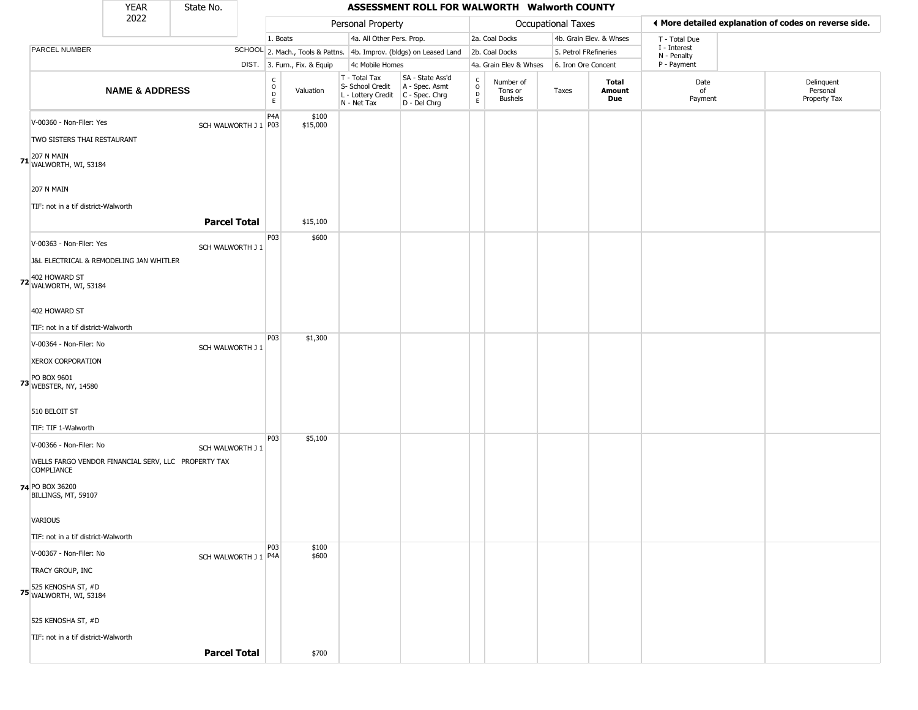|                                                                                                                                                                 | <b>YEAR</b>               | State No.           |                                                          |                              |                                                                        | ASSESSMENT ROLL FOR WALWORTH Walworth COUNTY                           |                                            |                                        |                       |                         |                             |                                                       |
|-----------------------------------------------------------------------------------------------------------------------------------------------------------------|---------------------------|---------------------|----------------------------------------------------------|------------------------------|------------------------------------------------------------------------|------------------------------------------------------------------------|--------------------------------------------|----------------------------------------|-----------------------|-------------------------|-----------------------------|-------------------------------------------------------|
|                                                                                                                                                                 | 2022                      |                     |                                                          |                              | Personal Property                                                      |                                                                        |                                            |                                        | Occupational Taxes    |                         |                             | ♦ More detailed explanation of codes on reverse side. |
|                                                                                                                                                                 |                           |                     |                                                          | 1. Boats                     | 4a. All Other Pers. Prop.                                              |                                                                        |                                            | 2a. Coal Docks                         |                       | 4b. Grain Elev. & Whses | T - Total Due               |                                                       |
| PARCEL NUMBER                                                                                                                                                   |                           |                     |                                                          |                              |                                                                        | SCHOOL 2. Mach., Tools & Pattns. 4b. Improv. (bldgs) on Leased Land    |                                            | 2b. Coal Docks                         | 5. Petrol FRefineries |                         | I - Interest<br>N - Penalty |                                                       |
|                                                                                                                                                                 |                           |                     |                                                          | DIST. 3. Furn., Fix. & Equip | 4c Mobile Homes                                                        |                                                                        |                                            | 4a. Grain Elev & Whses                 | 6. Iron Ore Concent   |                         | P - Payment                 |                                                       |
|                                                                                                                                                                 | <b>NAME &amp; ADDRESS</b> |                     | $\begin{smallmatrix} C \\ 0 \\ D \end{smallmatrix}$<br>E | Valuation                    | T - Total Tax<br>S- School Credit<br>L - Lottery Credit<br>N - Net Tax | SA - State Ass'd<br>A - Spec. Asmt<br>$C - Spec. Chrg$<br>D - Del Chrg | $\begin{array}{c} C \\ O \\ E \end{array}$ | Number of<br>Tons or<br><b>Bushels</b> | Taxes                 | Total<br>Amount<br>Due  | Date<br>of<br>Payment       | Delinquent<br>Personal<br>Property Tax                |
| V-00360 - Non-Filer: Yes<br>TWO SISTERS THAI RESTAURANT<br><b>71 207 N MAIN</b><br><b>71 WALWORTH, WI, 53184</b>                                                |                           |                     | P <sub>4</sub> A<br>SCH WALWORTH J 1 P03                 | \$100<br>\$15,000            |                                                                        |                                                                        |                                            |                                        |                       |                         |                             |                                                       |
| 207 N MAIN<br>TIF: not in a tif district-Walworth                                                                                                               |                           | <b>Parcel Total</b> |                                                          | \$15,100                     |                                                                        |                                                                        |                                            |                                        |                       |                         |                             |                                                       |
| V-00363 - Non-Filer: Yes<br>J&L ELECTRICAL & REMODELING JAN WHITLER<br>402 HOWARD ST<br><b>72</b> WALWORTH, WI, 53184<br>402 HOWARD ST                          |                           | SCH WALWORTH J 1    | P03                                                      | \$600                        |                                                                        |                                                                        |                                            |                                        |                       |                         |                             |                                                       |
| TIF: not in a tif district-Walworth                                                                                                                             |                           |                     |                                                          |                              |                                                                        |                                                                        |                                            |                                        |                       |                         |                             |                                                       |
| V-00364 - Non-Filer: No<br><b>XEROX CORPORATION</b><br>PO BOX 9601<br><b>73</b> WEBSTER, NY, 14580<br>510 BELOIT ST                                             |                           | SCH WALWORTH J 1    | P <sub>0</sub> 3                                         | \$1,300                      |                                                                        |                                                                        |                                            |                                        |                       |                         |                             |                                                       |
| TIF: TIF 1-Walworth<br>V-00366 - Non-Filer: No<br>WELLS FARGO VENDOR FINANCIAL SERV, LLC PROPERTY TAX<br><b>COMPLIANCE</b>                                      |                           | SCH WALWORTH J 1    | P <sub>0</sub> 3                                         | \$5,100                      |                                                                        |                                                                        |                                            |                                        |                       |                         |                             |                                                       |
| 74 PO BOX 36200<br>BILLINGS, MT, 59107<br>VARIOUS<br>TIF: not in a tif district-Walworth                                                                        |                           |                     |                                                          |                              |                                                                        |                                                                        |                                            |                                        |                       |                         |                             |                                                       |
| V-00367 - Non-Filer: No<br>TRACY GROUP, INC<br><b>75</b> 525 KENOSHA ST, #D<br>WALWORTH, WI, 53184<br>525 KENOSHA ST, #D<br>TIF: not in a tif district-Walworth |                           |                     | P <sub>03</sub><br>SCH WALWORTH J 1 P4A                  | \$100<br>\$600               |                                                                        |                                                                        |                                            |                                        |                       |                         |                             |                                                       |
|                                                                                                                                                                 |                           | <b>Parcel Total</b> |                                                          | \$700                        |                                                                        |                                                                        |                                            |                                        |                       |                         |                             |                                                       |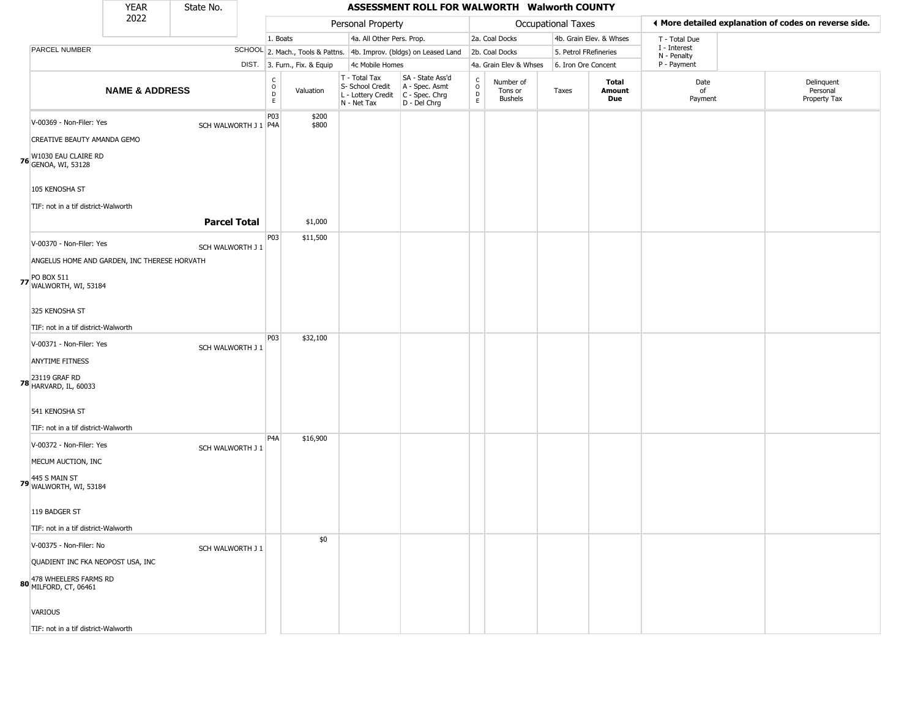|                                                             | <b>YEAR</b>               | State No.            |                                   |                              |                                                                        | ASSESSMENT ROLL FOR WALWORTH Walworth COUNTY                         |                                                  |                                 |                       |                         |                             |                                                       |
|-------------------------------------------------------------|---------------------------|----------------------|-----------------------------------|------------------------------|------------------------------------------------------------------------|----------------------------------------------------------------------|--------------------------------------------------|---------------------------------|-----------------------|-------------------------|-----------------------------|-------------------------------------------------------|
|                                                             | 2022                      |                      |                                   |                              | Personal Property                                                      |                                                                      |                                                  |                                 | Occupational Taxes    |                         |                             | ♦ More detailed explanation of codes on reverse side. |
|                                                             |                           |                      | 1. Boats                          |                              | 4a. All Other Pers. Prop.                                              |                                                                      |                                                  | 2a. Coal Docks                  |                       | 4b. Grain Elev. & Whses | T - Total Due               |                                                       |
| PARCEL NUMBER                                               |                           |                      |                                   |                              |                                                                        | SCHOOL 2. Mach., Tools & Pattns. 4b. Improv. (bldgs) on Leased Land  |                                                  | 2b. Coal Docks                  | 5. Petrol FRefineries |                         | I - Interest<br>N - Penalty |                                                       |
|                                                             |                           |                      |                                   | DIST. 3. Furn., Fix. & Equip | 4c Mobile Homes                                                        |                                                                      |                                                  | 4a. Grain Elev & Whses          | 6. Iron Ore Concent   |                         | P - Payment                 |                                                       |
|                                                             | <b>NAME &amp; ADDRESS</b> |                      | $\rm ^c_{o}$<br>$\mathsf{D}$<br>E | Valuation                    | T - Total Tax<br>S- School Credit<br>L - Lottery Credit<br>N - Net Tax | SA - State Ass'd<br>A - Spec. Asmt<br>C - Spec. Chrg<br>D - Del Chrg | $_{\rm o}^{\rm c}$<br>$\mathsf D$<br>$\mathsf E$ | Number of<br>Tons or<br>Bushels | Taxes                 | Total<br>Amount<br>Due  | Date<br>of<br>Payment       | Delinquent<br>Personal<br>Property Tax                |
| V-00369 - Non-Filer: Yes                                    |                           | SCH WALWORTH J 1 P4A | P03                               | \$200<br>\$800               |                                                                        |                                                                      |                                                  |                                 |                       |                         |                             |                                                       |
| CREATIVE BEAUTY AMANDA GEMO                                 |                           |                      |                                   |                              |                                                                        |                                                                      |                                                  |                                 |                       |                         |                             |                                                       |
| <b>76</b> W1030 EAU CLAIRE RD<br><b>76</b> GENOA, WI, 53128 |                           |                      |                                   |                              |                                                                        |                                                                      |                                                  |                                 |                       |                         |                             |                                                       |
| 105 KENOSHA ST                                              |                           |                      |                                   |                              |                                                                        |                                                                      |                                                  |                                 |                       |                         |                             |                                                       |
| TIF: not in a tif district-Walworth                         |                           |                      |                                   |                              |                                                                        |                                                                      |                                                  |                                 |                       |                         |                             |                                                       |
|                                                             |                           | <b>Parcel Total</b>  |                                   | \$1,000                      |                                                                        |                                                                      |                                                  |                                 |                       |                         |                             |                                                       |
| V-00370 - Non-Filer: Yes                                    |                           | SCH WALWORTH J 1     | P03                               | \$11,500                     |                                                                        |                                                                      |                                                  |                                 |                       |                         |                             |                                                       |
| ANGELUS HOME AND GARDEN, INC THERESE HORVATH                |                           |                      |                                   |                              |                                                                        |                                                                      |                                                  |                                 |                       |                         |                             |                                                       |
| <b>77</b> PO BOX 511<br><b>77</b> WALWORTH, WI, 53184       |                           |                      |                                   |                              |                                                                        |                                                                      |                                                  |                                 |                       |                         |                             |                                                       |
| 325 KENOSHA ST                                              |                           |                      |                                   |                              |                                                                        |                                                                      |                                                  |                                 |                       |                         |                             |                                                       |
| TIF: not in a tif district-Walworth                         |                           |                      |                                   |                              |                                                                        |                                                                      |                                                  |                                 |                       |                         |                             |                                                       |
| V-00371 - Non-Filer: Yes                                    |                           | SCH WALWORTH J 1     | P03                               | \$32,100                     |                                                                        |                                                                      |                                                  |                                 |                       |                         |                             |                                                       |
| ANYTIME FITNESS                                             |                           |                      |                                   |                              |                                                                        |                                                                      |                                                  |                                 |                       |                         |                             |                                                       |
| <b>78</b> 23119 GRAF RD<br>HARVARD, IL, 60033               |                           |                      |                                   |                              |                                                                        |                                                                      |                                                  |                                 |                       |                         |                             |                                                       |
| 541 KENOSHA ST                                              |                           |                      |                                   |                              |                                                                        |                                                                      |                                                  |                                 |                       |                         |                             |                                                       |
| TIF: not in a tif district-Walworth                         |                           |                      | P <sub>4</sub> A                  | \$16,900                     |                                                                        |                                                                      |                                                  |                                 |                       |                         |                             |                                                       |
| V-00372 - Non-Filer: Yes                                    |                           | SCH WALWORTH J 1     |                                   |                              |                                                                        |                                                                      |                                                  |                                 |                       |                         |                             |                                                       |
| MECUM AUCTION, INC                                          |                           |                      |                                   |                              |                                                                        |                                                                      |                                                  |                                 |                       |                         |                             |                                                       |
| <b>79</b> 445 S MAIN ST<br><b>79</b> WALWORTH, WI, 53184    |                           |                      |                                   |                              |                                                                        |                                                                      |                                                  |                                 |                       |                         |                             |                                                       |
| 119 BADGER ST                                               |                           |                      |                                   |                              |                                                                        |                                                                      |                                                  |                                 |                       |                         |                             |                                                       |
| TIF: not in a tif district-Walworth                         |                           |                      |                                   |                              |                                                                        |                                                                      |                                                  |                                 |                       |                         |                             |                                                       |
| V-00375 - Non-Filer: No                                     |                           | SCH WALWORTH J 1     |                                   | \$0                          |                                                                        |                                                                      |                                                  |                                 |                       |                         |                             |                                                       |
| QUADIENT INC FKA NEOPOST USA, INC                           |                           |                      |                                   |                              |                                                                        |                                                                      |                                                  |                                 |                       |                         |                             |                                                       |
| 80 478 WHEELERS FARMS RD<br>MILFORD, CT, 06461              |                           |                      |                                   |                              |                                                                        |                                                                      |                                                  |                                 |                       |                         |                             |                                                       |
| <b>VARIOUS</b>                                              |                           |                      |                                   |                              |                                                                        |                                                                      |                                                  |                                 |                       |                         |                             |                                                       |
| TIF: not in a tif district-Walworth                         |                           |                      |                                   |                              |                                                                        |                                                                      |                                                  |                                 |                       |                         |                             |                                                       |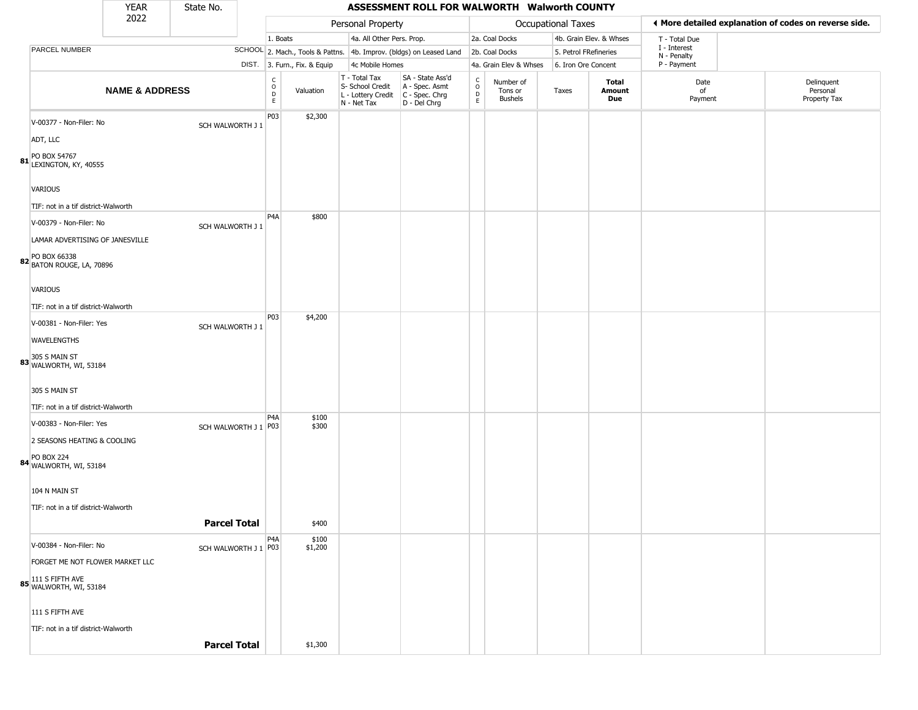|                                                                                                            | <b>YEAR</b>               | State No.            |                                                 |                              |                                                                        | ASSESSMENT ROLL FOR WALWORTH Walworth COUNTY                         |                                                 |                                        |                       |                         |                             |                                                       |
|------------------------------------------------------------------------------------------------------------|---------------------------|----------------------|-------------------------------------------------|------------------------------|------------------------------------------------------------------------|----------------------------------------------------------------------|-------------------------------------------------|----------------------------------------|-----------------------|-------------------------|-----------------------------|-------------------------------------------------------|
|                                                                                                            | 2022                      |                      |                                                 |                              | Personal Property                                                      |                                                                      |                                                 |                                        | Occupational Taxes    |                         |                             | ♦ More detailed explanation of codes on reverse side. |
|                                                                                                            |                           |                      | 1. Boats                                        |                              | 4a. All Other Pers. Prop.                                              |                                                                      |                                                 | 2a. Coal Docks                         |                       | 4b. Grain Elev. & Whses | T - Total Due               |                                                       |
| PARCEL NUMBER                                                                                              |                           |                      |                                                 |                              |                                                                        | SCHOOL 2. Mach., Tools & Pattns. 4b. Improv. (bldgs) on Leased Land  |                                                 | 2b. Coal Docks                         | 5. Petrol FRefineries |                         | I - Interest<br>N - Penalty |                                                       |
|                                                                                                            |                           |                      |                                                 | DIST. 3. Furn., Fix. & Equip | 4c Mobile Homes                                                        |                                                                      |                                                 | 4a. Grain Elev & Whses                 | 6. Iron Ore Concent   |                         | P - Payment                 |                                                       |
|                                                                                                            | <b>NAME &amp; ADDRESS</b> |                      | $\begin{array}{c} C \\ O \\ D \\ E \end{array}$ | Valuation                    | T - Total Tax<br>S- School Credit<br>L - Lottery Credit<br>N - Net Tax | SA - State Ass'd<br>A - Spec. Asmt<br>C - Spec. Chrg<br>D - Del Chrg | $\begin{array}{c} C \\ O \\ D \\ E \end{array}$ | Number of<br>Tons or<br><b>Bushels</b> | Taxes                 | Total<br>Amount<br>Due  | Date<br>of<br>Payment       | Delinquent<br>Personal<br>Property Tax                |
| V-00377 - Non-Filer: No<br>ADT, LLC<br>81 PO BOX 54767<br>LEXINGTON, KY, 40555                             |                           | SCH WALWORTH J 1     | P03                                             | \$2,300                      |                                                                        |                                                                      |                                                 |                                        |                       |                         |                             |                                                       |
| <b>VARIOUS</b><br>TIF: not in a tif district-Walworth                                                      |                           |                      | P <sub>4</sub> A                                | \$800                        |                                                                        |                                                                      |                                                 |                                        |                       |                         |                             |                                                       |
| V-00379 - Non-Filer: No<br>LAMAR ADVERTISING OF JANESVILLE<br>PO BOX 66338                                 |                           | SCH WALWORTH J 1     |                                                 |                              |                                                                        |                                                                      |                                                 |                                        |                       |                         |                             |                                                       |
| 82 BATON ROUGE, LA, 70896<br><b>VARIOUS</b><br>TIF: not in a tif district-Walworth                         |                           |                      |                                                 |                              |                                                                        |                                                                      |                                                 |                                        |                       |                         |                             |                                                       |
| V-00381 - Non-Filer: Yes<br><b>WAVELENGTHS</b><br>83 305 S MAIN ST<br>WALWORTH, WI, 53184<br>305 S MAIN ST |                           | SCH WALWORTH J 1     | P03                                             | \$4,200                      |                                                                        |                                                                      |                                                 |                                        |                       |                         |                             |                                                       |
| TIF: not in a tif district-Walworth                                                                        |                           |                      |                                                 |                              |                                                                        |                                                                      |                                                 |                                        |                       |                         |                             |                                                       |
| V-00383 - Non-Filer: Yes<br>2 SEASONS HEATING & COOLING<br>84 PO BOX 224<br>WALWORTH, WI, 53184            |                           | SCH WALWORTH J 1 P03 | P <sub>4</sub> A                                | \$100<br>\$300               |                                                                        |                                                                      |                                                 |                                        |                       |                         |                             |                                                       |
| 104 N MAIN ST<br>TIF: not in a tif district-Walworth                                                       |                           | <b>Parcel Total</b>  |                                                 | \$400                        |                                                                        |                                                                      |                                                 |                                        |                       |                         |                             |                                                       |
| V-00384 - Non-Filer: No<br>FORGET ME NOT FLOWER MARKET LLC<br>85 UALWORTH, WI, 53184                       |                           | SCH WALWORTH J 1 P03 | P <sub>4</sub> A                                | \$100<br>\$1,200             |                                                                        |                                                                      |                                                 |                                        |                       |                         |                             |                                                       |
| 111 S FIFTH AVE<br>TIF: not in a tif district-Walworth                                                     |                           | <b>Parcel Total</b>  |                                                 | \$1,300                      |                                                                        |                                                                      |                                                 |                                        |                       |                         |                             |                                                       |
|                                                                                                            |                           |                      |                                                 |                              |                                                                        |                                                                      |                                                 |                                        |                       |                         |                             |                                                       |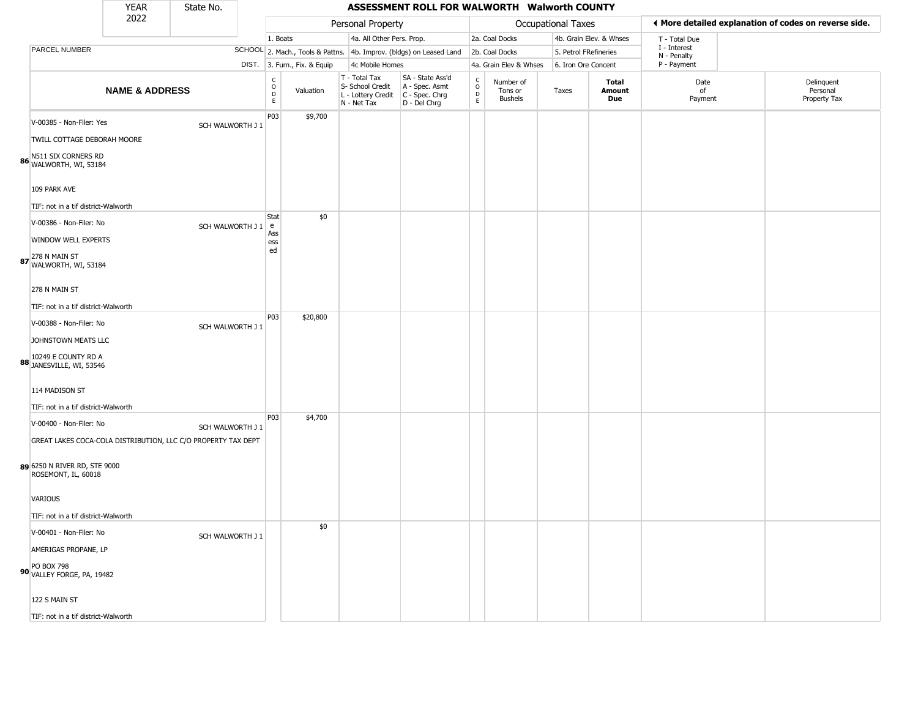|                                                                              | <b>YEAR</b>               | State No.        |                                                  |                              |                                                                        | ASSESSMENT ROLL FOR WALWORTH Walworth COUNTY                         |                                |                                        |                       |                         |                             |                                                       |
|------------------------------------------------------------------------------|---------------------------|------------------|--------------------------------------------------|------------------------------|------------------------------------------------------------------------|----------------------------------------------------------------------|--------------------------------|----------------------------------------|-----------------------|-------------------------|-----------------------------|-------------------------------------------------------|
|                                                                              | 2022                      |                  |                                                  |                              | Personal Property                                                      |                                                                      |                                |                                        | Occupational Taxes    |                         |                             | ◀ More detailed explanation of codes on reverse side. |
|                                                                              |                           |                  | 1. Boats                                         |                              | 4a. All Other Pers. Prop.                                              |                                                                      |                                | 2a. Coal Docks                         |                       | 4b. Grain Elev. & Whses | T - Total Due               |                                                       |
| PARCEL NUMBER                                                                |                           |                  |                                                  |                              |                                                                        | SCHOOL 2. Mach., Tools & Pattns. 4b. Improv. (bldgs) on Leased Land  |                                | 2b. Coal Docks                         | 5. Petrol FRefineries |                         | I - Interest<br>N - Penalty |                                                       |
|                                                                              |                           |                  |                                                  | DIST. 3. Furn., Fix. & Equip | 4c Mobile Homes                                                        |                                                                      |                                | 4a. Grain Elev & Whses                 | 6. Iron Ore Concent   |                         | P - Payment                 |                                                       |
|                                                                              | <b>NAME &amp; ADDRESS</b> |                  | $\mathsf{C}$<br>$\mathsf{O}$<br>$\mathsf D$<br>E | Valuation                    | T - Total Tax<br>S- School Credit<br>L - Lottery Credit<br>N - Net Tax | SA - State Ass'd<br>A - Spec. Asmt<br>C - Spec. Chrg<br>D - Del Chrg | $\rm _o^c$<br>D<br>$\mathsf E$ | Number of<br>Tons or<br><b>Bushels</b> | Taxes                 | Total<br>Amount<br>Due  | Date<br>of<br>Payment       | Delinquent<br>Personal<br>Property Tax                |
| V-00385 - Non-Filer: Yes                                                     |                           | SCH WALWORTH J 1 | P03                                              | \$9,700                      |                                                                        |                                                                      |                                |                                        |                       |                         |                             |                                                       |
| TWILL COTTAGE DEBORAH MOORE<br>N511 SIX CORNERS RD<br>86 WALWORTH, WI, 53184 |                           |                  |                                                  |                              |                                                                        |                                                                      |                                |                                        |                       |                         |                             |                                                       |
| 109 PARK AVE<br>TIF: not in a tif district-Walworth                          |                           |                  |                                                  |                              |                                                                        |                                                                      |                                |                                        |                       |                         |                             |                                                       |
| V-00386 - Non-Filer: No                                                      |                           | SCH WALWORTH J 1 | Stat<br>l e                                      | \$0                          |                                                                        |                                                                      |                                |                                        |                       |                         |                             |                                                       |
| WINDOW WELL EXPERTS                                                          |                           |                  | Ass<br>ess                                       |                              |                                                                        |                                                                      |                                |                                        |                       |                         |                             |                                                       |
| 87 X8 N MAIN ST<br>WALWORTH, WI, 53184                                       |                           |                  | ed                                               |                              |                                                                        |                                                                      |                                |                                        |                       |                         |                             |                                                       |
| 278 N MAIN ST                                                                |                           |                  |                                                  |                              |                                                                        |                                                                      |                                |                                        |                       |                         |                             |                                                       |
| TIF: not in a tif district-Walworth                                          |                           |                  |                                                  |                              |                                                                        |                                                                      |                                |                                        |                       |                         |                             |                                                       |
| V-00388 - Non-Filer: No                                                      |                           | SCH WALWORTH J 1 | P03                                              | \$20,800                     |                                                                        |                                                                      |                                |                                        |                       |                         |                             |                                                       |
| JOHNSTOWN MEATS LLC                                                          |                           |                  |                                                  |                              |                                                                        |                                                                      |                                |                                        |                       |                         |                             |                                                       |
| <b>88</b> 10249 E COUNTY RD A<br>JANESVILLE, WI, 53546                       |                           |                  |                                                  |                              |                                                                        |                                                                      |                                |                                        |                       |                         |                             |                                                       |
| 114 MADISON ST                                                               |                           |                  |                                                  |                              |                                                                        |                                                                      |                                |                                        |                       |                         |                             |                                                       |
| TIF: not in a tif district-Walworth                                          |                           |                  |                                                  |                              |                                                                        |                                                                      |                                |                                        |                       |                         |                             |                                                       |
| V-00400 - Non-Filer: No                                                      |                           | SCH WALWORTH J 1 | P03                                              | \$4,700                      |                                                                        |                                                                      |                                |                                        |                       |                         |                             |                                                       |
| GREAT LAKES COCA-COLA DISTRIBUTION, LLC C/O PROPERTY TAX DEPT                |                           |                  |                                                  |                              |                                                                        |                                                                      |                                |                                        |                       |                         |                             |                                                       |
| 89 6250 N RIVER RD, STE 9000<br>ROSEMONT, IL, 60018                          |                           |                  |                                                  |                              |                                                                        |                                                                      |                                |                                        |                       |                         |                             |                                                       |
| VARIOUS                                                                      |                           |                  |                                                  |                              |                                                                        |                                                                      |                                |                                        |                       |                         |                             |                                                       |
| TIF: not in a tif district-Walworth                                          |                           |                  |                                                  |                              |                                                                        |                                                                      |                                |                                        |                       |                         |                             |                                                       |
| V-00401 - Non-Filer: No                                                      |                           | SCH WALWORTH J 1 |                                                  | \$0                          |                                                                        |                                                                      |                                |                                        |                       |                         |                             |                                                       |
| AMERIGAS PROPANE, LP                                                         |                           |                  |                                                  |                              |                                                                        |                                                                      |                                |                                        |                       |                         |                             |                                                       |
| 90 PO BOX 798<br>VALLEY FORGE, PA, 19482                                     |                           |                  |                                                  |                              |                                                                        |                                                                      |                                |                                        |                       |                         |                             |                                                       |
| 122 S MAIN ST                                                                |                           |                  |                                                  |                              |                                                                        |                                                                      |                                |                                        |                       |                         |                             |                                                       |
| TIF: not in a tif district-Walworth                                          |                           |                  |                                                  |                              |                                                                        |                                                                      |                                |                                        |                       |                         |                             |                                                       |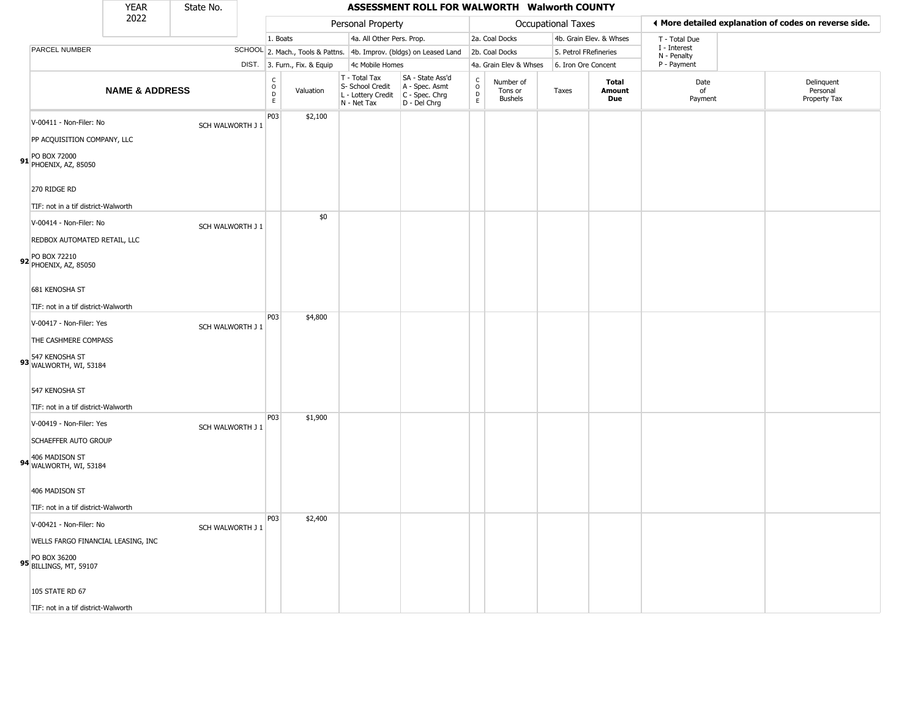|                                                                | <b>YEAR</b>               | State No.        |                                                            |                              |                                                                        | ASSESSMENT ROLL FOR WALWORTH Walworth COUNTY                           |                                             |                                        |                       |                         |                             |                                                       |
|----------------------------------------------------------------|---------------------------|------------------|------------------------------------------------------------|------------------------------|------------------------------------------------------------------------|------------------------------------------------------------------------|---------------------------------------------|----------------------------------------|-----------------------|-------------------------|-----------------------------|-------------------------------------------------------|
|                                                                | 2022                      |                  |                                                            |                              | Personal Property                                                      |                                                                        |                                             |                                        | Occupational Taxes    |                         |                             | ♦ More detailed explanation of codes on reverse side. |
|                                                                |                           |                  | 1. Boats                                                   |                              | 4a. All Other Pers. Prop.                                              |                                                                        |                                             | 2a. Coal Docks                         |                       | 4b. Grain Elev. & Whses | T - Total Due               |                                                       |
| PARCEL NUMBER                                                  |                           |                  |                                                            |                              |                                                                        | SCHOOL 2. Mach., Tools & Pattns. 4b. Improv. (bldgs) on Leased Land    |                                             | 2b. Coal Docks                         | 5. Petrol FRefineries |                         | I - Interest<br>N - Penalty |                                                       |
|                                                                |                           |                  |                                                            | DIST. 3. Furn., Fix. & Equip | 4c Mobile Homes                                                        |                                                                        |                                             | 4a. Grain Elev & Whses                 | 6. Iron Ore Concent   |                         | P - Payment                 |                                                       |
|                                                                | <b>NAME &amp; ADDRESS</b> |                  | $\begin{smallmatrix} C\\ O\\ O\\ D \end{smallmatrix}$<br>E | Valuation                    | T - Total Tax<br>S- School Credit<br>L - Lottery Credit<br>N - Net Tax | SA - State Ass'd<br>A - Spec. Asmt<br>$C - Spec. Chrg$<br>D - Del Chrg | $\frac{c}{0}$<br>$\mathsf D$<br>$\mathsf E$ | Number of<br>Tons or<br><b>Bushels</b> | Taxes                 | Total<br>Amount<br>Due  | Date<br>of<br>Payment       | Delinquent<br>Personal<br>Property Tax                |
| V-00411 - Non-Filer: No                                        |                           | SCH WALWORTH J 1 | P03                                                        | \$2,100                      |                                                                        |                                                                        |                                             |                                        |                       |                         |                             |                                                       |
| PP ACQUISITION COMPANY, LLC                                    |                           |                  |                                                            |                              |                                                                        |                                                                        |                                             |                                        |                       |                         |                             |                                                       |
| 91 PO BOX 72000<br>PHOENIX, AZ, 85050                          |                           |                  |                                                            |                              |                                                                        |                                                                        |                                             |                                        |                       |                         |                             |                                                       |
| 270 RIDGE RD                                                   |                           |                  |                                                            |                              |                                                                        |                                                                        |                                             |                                        |                       |                         |                             |                                                       |
| TIF: not in a tif district-Walworth<br>V-00414 - Non-Filer: No |                           |                  |                                                            | \$0                          |                                                                        |                                                                        |                                             |                                        |                       |                         |                             |                                                       |
| REDBOX AUTOMATED RETAIL, LLC                                   |                           | SCH WALWORTH J 1 |                                                            |                              |                                                                        |                                                                        |                                             |                                        |                       |                         |                             |                                                       |
| PO BOX 72210<br>92 PHOENIX, AZ, 85050                          |                           |                  |                                                            |                              |                                                                        |                                                                        |                                             |                                        |                       |                         |                             |                                                       |
| 681 KENOSHA ST                                                 |                           |                  |                                                            |                              |                                                                        |                                                                        |                                             |                                        |                       |                         |                             |                                                       |
| TIF: not in a tif district-Walworth                            |                           |                  |                                                            |                              |                                                                        |                                                                        |                                             |                                        |                       |                         |                             |                                                       |
| V-00417 - Non-Filer: Yes                                       |                           | SCH WALWORTH J 1 | P03                                                        | \$4,800                      |                                                                        |                                                                        |                                             |                                        |                       |                         |                             |                                                       |
| THE CASHMERE COMPASS                                           |                           |                  |                                                            |                              |                                                                        |                                                                        |                                             |                                        |                       |                         |                             |                                                       |
| 93 547 KENOSHA ST<br>WALWORTH, WI, 53184                       |                           |                  |                                                            |                              |                                                                        |                                                                        |                                             |                                        |                       |                         |                             |                                                       |
| 547 KENOSHA ST                                                 |                           |                  |                                                            |                              |                                                                        |                                                                        |                                             |                                        |                       |                         |                             |                                                       |
| TIF: not in a tif district-Walworth                            |                           |                  | P03                                                        | \$1,900                      |                                                                        |                                                                        |                                             |                                        |                       |                         |                             |                                                       |
| V-00419 - Non-Filer: Yes                                       |                           | SCH WALWORTH J 1 |                                                            |                              |                                                                        |                                                                        |                                             |                                        |                       |                         |                             |                                                       |
| SCHAEFFER AUTO GROUP                                           |                           |                  |                                                            |                              |                                                                        |                                                                        |                                             |                                        |                       |                         |                             |                                                       |
| 406 MADISON ST<br>94 WALWORTH, WI, 53184                       |                           |                  |                                                            |                              |                                                                        |                                                                        |                                             |                                        |                       |                         |                             |                                                       |
| 406 MADISON ST                                                 |                           |                  |                                                            |                              |                                                                        |                                                                        |                                             |                                        |                       |                         |                             |                                                       |
| TIF: not in a tif district-Walworth                            |                           |                  |                                                            |                              |                                                                        |                                                                        |                                             |                                        |                       |                         |                             |                                                       |
| V-00421 - Non-Filer: No                                        |                           | SCH WALWORTH J 1 | P03                                                        | \$2,400                      |                                                                        |                                                                        |                                             |                                        |                       |                         |                             |                                                       |
| WELLS FARGO FINANCIAL LEASING, INC                             |                           |                  |                                                            |                              |                                                                        |                                                                        |                                             |                                        |                       |                         |                             |                                                       |
| PO BOX 36200<br>95 BILLINGS, MT, 59107                         |                           |                  |                                                            |                              |                                                                        |                                                                        |                                             |                                        |                       |                         |                             |                                                       |
| 105 STATE RD 67                                                |                           |                  |                                                            |                              |                                                                        |                                                                        |                                             |                                        |                       |                         |                             |                                                       |
| TIF: not in a tif district-Walworth                            |                           |                  |                                                            |                              |                                                                        |                                                                        |                                             |                                        |                       |                         |                             |                                                       |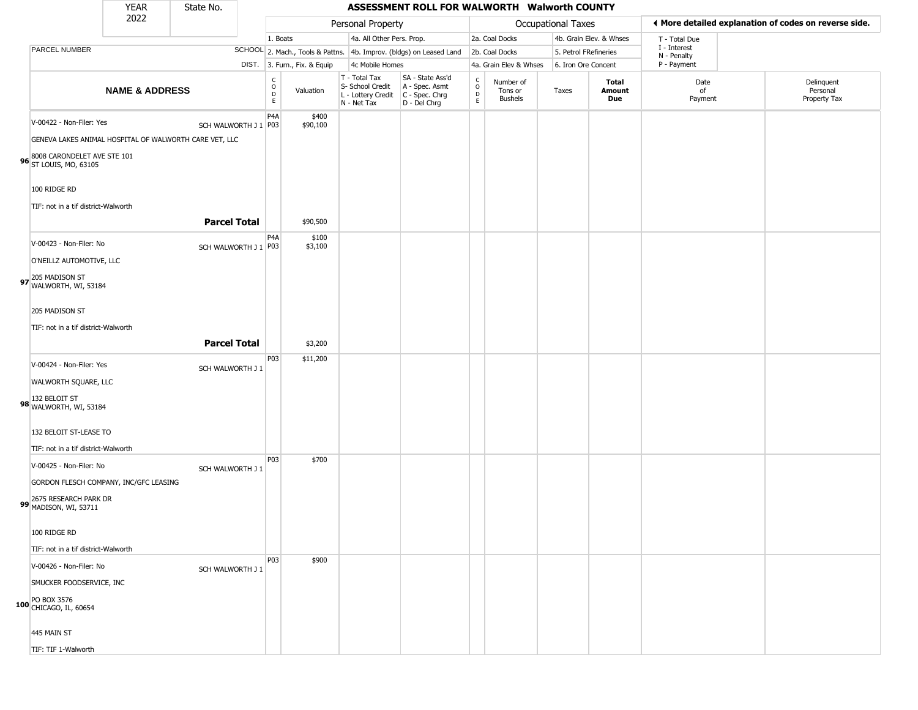|                                                                                                                                                                           | <b>YEAR</b>               | State No.              |                                                  |                              |                                                                        | ASSESSMENT ROLL FOR WALWORTH Walworth COUNTY                         |                                                     |                                        |                           |                         |                             |                                                       |
|---------------------------------------------------------------------------------------------------------------------------------------------------------------------------|---------------------------|------------------------|--------------------------------------------------|------------------------------|------------------------------------------------------------------------|----------------------------------------------------------------------|-----------------------------------------------------|----------------------------------------|---------------------------|-------------------------|-----------------------------|-------------------------------------------------------|
|                                                                                                                                                                           | 2022                      |                        |                                                  |                              | Personal Property                                                      |                                                                      |                                                     |                                        | <b>Occupational Taxes</b> |                         |                             | ♦ More detailed explanation of codes on reverse side. |
|                                                                                                                                                                           |                           |                        | 1. Boats                                         |                              | 4a. All Other Pers. Prop.                                              |                                                                      |                                                     | 2a. Coal Docks                         |                           | 4b. Grain Elev. & Whses | T - Total Due               |                                                       |
| PARCEL NUMBER                                                                                                                                                             |                           |                        |                                                  |                              |                                                                        | SCHOOL 2. Mach., Tools & Pattns. 4b. Improv. (bldgs) on Leased Land  |                                                     | 2b. Coal Docks                         | 5. Petrol FRefineries     |                         | I - Interest<br>N - Penalty |                                                       |
|                                                                                                                                                                           |                           |                        |                                                  | DIST. 3. Furn., Fix. & Equip | 4c Mobile Homes                                                        |                                                                      |                                                     | 4a. Grain Elev & Whses                 | 6. Iron Ore Concent       |                         | P - Payment                 |                                                       |
|                                                                                                                                                                           | <b>NAME &amp; ADDRESS</b> |                        | $_{\rm o}^{\rm c}$<br>$\mathsf D$<br>$\mathsf E$ | Valuation                    | T - Total Tax<br>S- School Credit<br>L - Lottery Credit<br>N - Net Tax | SA - State Ass'd<br>A - Spec. Asmt<br>C - Spec. Chrg<br>D - Del Chrg | $\begin{matrix} 0 \\ 0 \\ D \end{matrix}$<br>$\,$ E | Number of<br>Tons or<br><b>Bushels</b> | Taxes                     | Total<br>Amount<br>Due  | Date<br>of<br>Payment       | Delinquent<br>Personal<br>Property Tax                |
| V-00422 - Non-Filer: Yes<br>GENEVA LAKES ANIMAL HOSPITAL OF WALWORTH CARE VET, LLC<br>8008 CARONDELET AVE STE 101<br>96 ST LOUIS, MO, 63105                               |                           | SCH WALWORTH J 1 P03   | P4A                                              | \$400<br>\$90,100            |                                                                        |                                                                      |                                                     |                                        |                           |                         |                             |                                                       |
| 100 RIDGE RD                                                                                                                                                              |                           |                        |                                                  |                              |                                                                        |                                                                      |                                                     |                                        |                           |                         |                             |                                                       |
| TIF: not in a tif district-Walworth                                                                                                                                       |                           | <b>Parcel Total</b>    |                                                  | \$90,500                     |                                                                        |                                                                      |                                                     |                                        |                           |                         |                             |                                                       |
| V-00423 - Non-Filer: No<br>O'NEILLZ AUTOMOTIVE, LLC<br>97 205 MADISON ST<br>WALWORTH, WI, 53184                                                                           |                           | SCH WALWORTH J 1   P03 | P4A                                              | \$100<br>\$3,100             |                                                                        |                                                                      |                                                     |                                        |                           |                         |                             |                                                       |
| 205 MADISON ST<br>TIF: not in a tif district-Walworth                                                                                                                     |                           | <b>Parcel Total</b>    |                                                  | \$3,200                      |                                                                        |                                                                      |                                                     |                                        |                           |                         |                             |                                                       |
| V-00424 - Non-Filer: Yes<br>WALWORTH SQUARE, LLC<br>132 BELOIT ST<br>98 WALWORTH, WI, 53184<br>132 BELOIT ST-LEASE TO<br>TIF: not in a tif district-Walworth              |                           | SCH WALWORTH J 1       | P03                                              | \$11,200                     |                                                                        |                                                                      |                                                     |                                        |                           |                         |                             |                                                       |
| V-00425 - Non-Filer: No<br>GORDON FLESCH COMPANY, INC/GFC LEASING<br>99 2675 RESEARCH PARK DR<br>MADISON, WI, 53711<br>100 RIDGE RD                                       |                           | SCH WALWORTH J 1       | P03                                              | \$700                        |                                                                        |                                                                      |                                                     |                                        |                           |                         |                             |                                                       |
| TIF: not in a tif district-Walworth<br>V-00426 - Non-Filer: No<br>SMUCKER FOODSERVICE, INC<br>PO BOX 3576<br>100 CHICAGO, IL, 60654<br>445 MAIN ST<br>TIF: TIF 1-Walworth |                           | SCH WALWORTH J 1       | P03                                              | \$900                        |                                                                        |                                                                      |                                                     |                                        |                           |                         |                             |                                                       |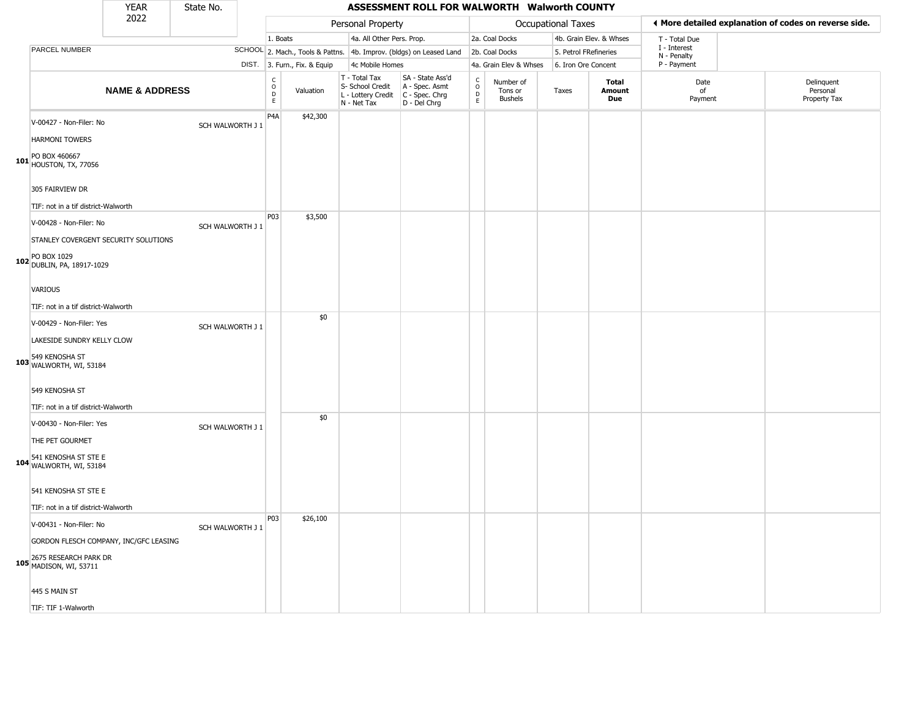|                                                                         | <b>YEAR</b>               | State No.        |                                |                              |                                                                        | ASSESSMENT ROLL FOR WALWORTH Walworth COUNTY                         |                                |                                        |                       |                         |                             |                                                       |
|-------------------------------------------------------------------------|---------------------------|------------------|--------------------------------|------------------------------|------------------------------------------------------------------------|----------------------------------------------------------------------|--------------------------------|----------------------------------------|-----------------------|-------------------------|-----------------------------|-------------------------------------------------------|
|                                                                         | 2022                      |                  |                                |                              | Personal Property                                                      |                                                                      |                                |                                        | Occupational Taxes    |                         |                             | ♦ More detailed explanation of codes on reverse side. |
|                                                                         |                           |                  | 1. Boats                       |                              | 4a. All Other Pers. Prop.                                              |                                                                      |                                | 2a. Coal Docks                         |                       | 4b. Grain Elev. & Whses | T - Total Due               |                                                       |
| PARCEL NUMBER                                                           |                           |                  |                                |                              |                                                                        | SCHOOL 2. Mach., Tools & Pattns. 4b. Improv. (bldgs) on Leased Land  |                                | 2b. Coal Docks                         | 5. Petrol FRefineries |                         | I - Interest<br>N - Penalty |                                                       |
|                                                                         |                           |                  |                                | DIST. 3. Furn., Fix. & Equip | 4c Mobile Homes                                                        |                                                                      |                                | 4a. Grain Elev & Whses                 | 6. Iron Ore Concent   |                         | P - Payment                 |                                                       |
|                                                                         | <b>NAME &amp; ADDRESS</b> |                  | $\rm _o^C$<br>$\mathsf D$<br>E | Valuation                    | T - Total Tax<br>S- School Credit<br>L - Lottery Credit<br>N - Net Tax | SA - State Ass'd<br>A - Spec. Asmt<br>C - Spec. Chrg<br>D - Del Chrg | $\rm _o^C$<br>$\mathsf D$<br>E | Number of<br>Tons or<br><b>Bushels</b> | Taxes                 | Total<br>Amount<br>Due  | Date<br>of<br>Payment       | Delinquent<br>Personal<br>Property Tax                |
| V-00427 - Non-Filer: No                                                 |                           | SCH WALWORTH J 1 | P <sub>4</sub> A               | \$42,300                     |                                                                        |                                                                      |                                |                                        |                       |                         |                             |                                                       |
| <b>HARMONI TOWERS</b><br>PO BOX 460667<br>101 <b>HOUSTON, TX, 77056</b> |                           |                  |                                |                              |                                                                        |                                                                      |                                |                                        |                       |                         |                             |                                                       |
| 305 FAIRVIEW DR<br>TIF: not in a tif district-Walworth                  |                           |                  |                                |                              |                                                                        |                                                                      |                                |                                        |                       |                         |                             |                                                       |
| V-00428 - Non-Filer: No<br>STANLEY COVERGENT SECURITY SOLUTIONS         |                           | SCH WALWORTH J 1 | P03                            | \$3,500                      |                                                                        |                                                                      |                                |                                        |                       |                         |                             |                                                       |
| PO BOX 1029<br>102 DUBLIN, PA, 18917-1029                               |                           |                  |                                |                              |                                                                        |                                                                      |                                |                                        |                       |                         |                             |                                                       |
| <b>VARIOUS</b>                                                          |                           |                  |                                |                              |                                                                        |                                                                      |                                |                                        |                       |                         |                             |                                                       |
| TIF: not in a tif district-Walworth                                     |                           |                  |                                |                              |                                                                        |                                                                      |                                |                                        |                       |                         |                             |                                                       |
| V-00429 - Non-Filer: Yes                                                |                           |                  |                                | \$0                          |                                                                        |                                                                      |                                |                                        |                       |                         |                             |                                                       |
|                                                                         |                           | SCH WALWORTH J 1 |                                |                              |                                                                        |                                                                      |                                |                                        |                       |                         |                             |                                                       |
| LAKESIDE SUNDRY KELLY CLOW<br>549 KENOSHA ST<br>103 WALWORTH, WI, 53184 |                           |                  |                                |                              |                                                                        |                                                                      |                                |                                        |                       |                         |                             |                                                       |
| 549 KENOSHA ST<br>TIF: not in a tif district-Walworth                   |                           |                  |                                |                              |                                                                        |                                                                      |                                |                                        |                       |                         |                             |                                                       |
| V-00430 - Non-Filer: Yes                                                |                           | SCH WALWORTH J 1 |                                | \$0                          |                                                                        |                                                                      |                                |                                        |                       |                         |                             |                                                       |
| THE PET GOURMET                                                         |                           |                  |                                |                              |                                                                        |                                                                      |                                |                                        |                       |                         |                             |                                                       |
| 541 KENOSHA ST STE E<br>104 WALWORTH, WI, 53184                         |                           |                  |                                |                              |                                                                        |                                                                      |                                |                                        |                       |                         |                             |                                                       |
| 541 KENOSHA ST STE E                                                    |                           |                  |                                |                              |                                                                        |                                                                      |                                |                                        |                       |                         |                             |                                                       |
| TIF: not in a tif district-Walworth                                     |                           |                  |                                |                              |                                                                        |                                                                      |                                |                                        |                       |                         |                             |                                                       |
| V-00431 - Non-Filer: No                                                 |                           | SCH WALWORTH J 1 | <b>P03</b>                     | \$26,100                     |                                                                        |                                                                      |                                |                                        |                       |                         |                             |                                                       |
| GORDON FLESCH COMPANY, INC/GFC LEASING                                  |                           |                  |                                |                              |                                                                        |                                                                      |                                |                                        |                       |                         |                             |                                                       |
| 2675 RESEARCH PARK DR<br>105 MADISON, WI, 53711                         |                           |                  |                                |                              |                                                                        |                                                                      |                                |                                        |                       |                         |                             |                                                       |
| 445 S MAIN ST                                                           |                           |                  |                                |                              |                                                                        |                                                                      |                                |                                        |                       |                         |                             |                                                       |
| TIF: TIF 1-Walworth                                                     |                           |                  |                                |                              |                                                                        |                                                                      |                                |                                        |                       |                         |                             |                                                       |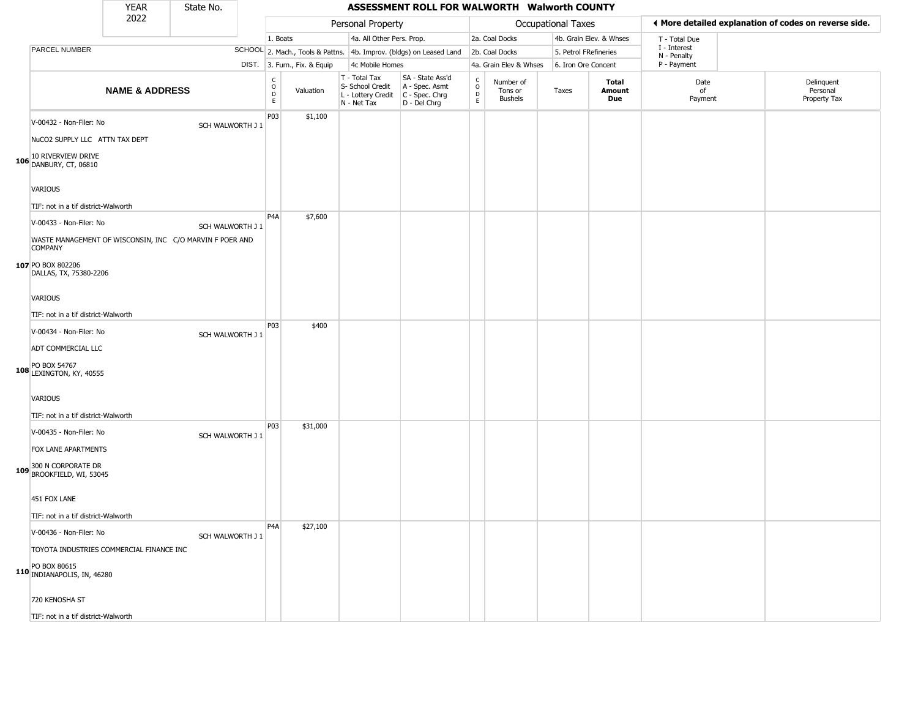|                                                                                                                                          | <b>YEAR</b>               | State No.        |                                           |                              |                                                                        | ASSESSMENT ROLL FOR WALWORTH Walworth COUNTY                         |                                             |                                        |                       |                         |                             |                                                       |
|------------------------------------------------------------------------------------------------------------------------------------------|---------------------------|------------------|-------------------------------------------|------------------------------|------------------------------------------------------------------------|----------------------------------------------------------------------|---------------------------------------------|----------------------------------------|-----------------------|-------------------------|-----------------------------|-------------------------------------------------------|
|                                                                                                                                          | 2022                      |                  |                                           |                              | Personal Property                                                      |                                                                      |                                             |                                        | Occupational Taxes    |                         |                             | ◀ More detailed explanation of codes on reverse side. |
|                                                                                                                                          |                           |                  | 1. Boats                                  |                              | 4a. All Other Pers. Prop.                                              |                                                                      |                                             | 2a. Coal Docks                         |                       | 4b. Grain Elev. & Whses | T - Total Due               |                                                       |
| PARCEL NUMBER                                                                                                                            |                           |                  |                                           |                              |                                                                        | SCHOOL 2. Mach., Tools & Pattns. 4b. Improv. (bldgs) on Leased Land  |                                             | 2b. Coal Docks                         | 5. Petrol FRefineries |                         | I - Interest<br>N - Penalty |                                                       |
|                                                                                                                                          |                           |                  |                                           | DIST. 3. Furn., Fix. & Equip | 4c Mobile Homes                                                        |                                                                      |                                             | 4a. Grain Elev & Whses                 | 6. Iron Ore Concent   |                         | P - Payment                 |                                                       |
|                                                                                                                                          | <b>NAME &amp; ADDRESS</b> |                  | $\rm _o^C$<br>$\mathsf{D}$<br>$\mathsf E$ | Valuation                    | T - Total Tax<br>S- School Credit<br>L - Lottery Credit<br>N - Net Tax | SA - State Ass'd<br>A - Spec. Asmt<br>C - Spec. Chrg<br>D - Del Chrg | $\frac{C}{O}$<br>$\mathsf D$<br>$\mathsf E$ | Number of<br>Tons or<br><b>Bushels</b> | Taxes                 | Total<br>Amount<br>Due  | Date<br>of<br>Payment       | Delinquent<br>Personal<br>Property Tax                |
| V-00432 - Non-Filer: No<br>NuCO2 SUPPLY LLC ATTN TAX DEPT                                                                                |                           | SCH WALWORTH J 1 | P03                                       | \$1,100                      |                                                                        |                                                                      |                                             |                                        |                       |                         |                             |                                                       |
| 106 10 RIVERVIEW DRIVE<br>DANBURY, CT, 06810<br><b>VARIOUS</b><br>TIF: not in a tif district-Walworth                                    |                           |                  |                                           |                              |                                                                        |                                                                      |                                             |                                        |                       |                         |                             |                                                       |
| V-00433 - Non-Filer: No<br>WASTE MANAGEMENT OF WISCONSIN, INC C/O MARVIN F POER AND<br><b>COMPANY</b>                                    |                           | SCH WALWORTH J 1 | P <sub>4</sub> A                          | \$7,600                      |                                                                        |                                                                      |                                             |                                        |                       |                         |                             |                                                       |
| 107 PO BOX 802206<br>DALLAS, TX, 75380-2206                                                                                              |                           |                  |                                           |                              |                                                                        |                                                                      |                                             |                                        |                       |                         |                             |                                                       |
| <b>VARIOUS</b><br>TIF: not in a tif district-Walworth                                                                                    |                           |                  |                                           |                              |                                                                        |                                                                      |                                             |                                        |                       |                         |                             |                                                       |
| V-00434 - Non-Filer: No<br>ADT COMMERCIAL LLC<br>108 PO BOX 54767<br>LEXINGTON, KY, 40555                                                |                           | SCH WALWORTH J 1 | P <sub>0</sub> 3                          | \$400                        |                                                                        |                                                                      |                                             |                                        |                       |                         |                             |                                                       |
| <b>VARIOUS</b><br>TIF: not in a tif district-Walworth                                                                                    |                           |                  |                                           |                              |                                                                        |                                                                      |                                             |                                        |                       |                         |                             |                                                       |
| V-00435 - Non-Filer: No<br>FOX LANE APARTMENTS<br>300 N CORPORATE DR<br>109 BROOKFIELD, WI, 53045                                        |                           | SCH WALWORTH J 1 | P <sub>0</sub> 3                          | \$31,000                     |                                                                        |                                                                      |                                             |                                        |                       |                         |                             |                                                       |
| 451 FOX LANE<br>TIF: not in a tif district-Walworth                                                                                      |                           |                  |                                           |                              |                                                                        |                                                                      |                                             |                                        |                       |                         |                             |                                                       |
| V-00436 - Non-Filer: No<br>TOYOTA INDUSTRIES COMMERCIAL FINANCE INC<br>110 PO BOX 80615<br>110 INDIANAPOLIS, IN, 46280<br>720 KENOSHA ST |                           | SCH WALWORTH J 1 | P <sub>4</sub> A                          | \$27,100                     |                                                                        |                                                                      |                                             |                                        |                       |                         |                             |                                                       |
| TIF: not in a tif district-Walworth                                                                                                      |                           |                  |                                           |                              |                                                                        |                                                                      |                                             |                                        |                       |                         |                             |                                                       |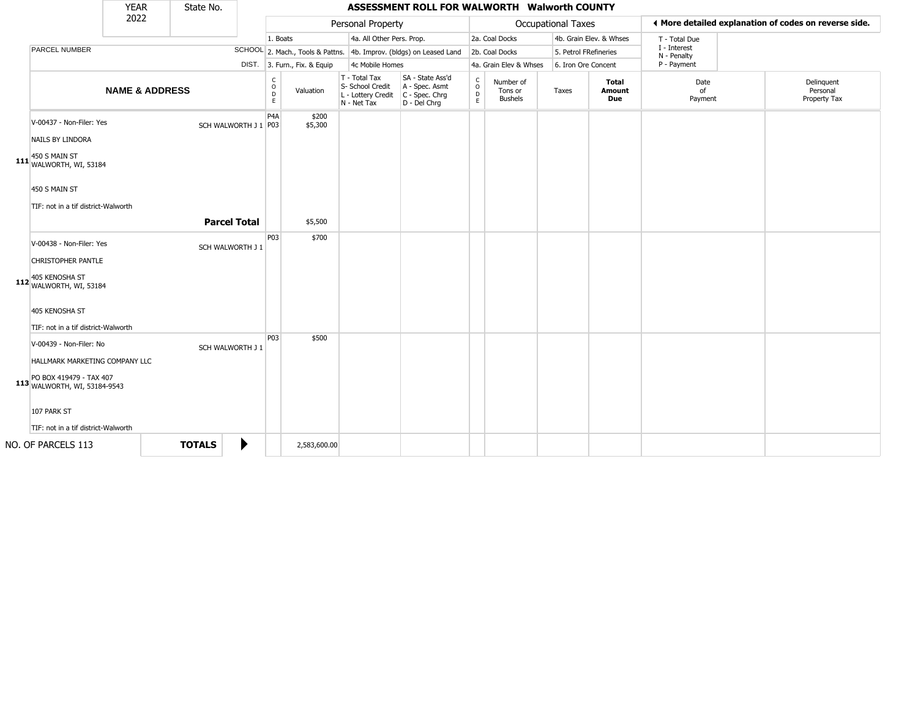|                                                                                                                                     | <b>YEAR</b>               | State No.            |   |                        |                              |                                                                        | ASSESSMENT ROLL FOR WALWORTH Walworth COUNTY                         |                        |                                        |                       |                         |                             |                                                       |
|-------------------------------------------------------------------------------------------------------------------------------------|---------------------------|----------------------|---|------------------------|------------------------------|------------------------------------------------------------------------|----------------------------------------------------------------------|------------------------|----------------------------------------|-----------------------|-------------------------|-----------------------------|-------------------------------------------------------|
|                                                                                                                                     | 2022                      |                      |   |                        |                              | Personal Property                                                      |                                                                      |                        |                                        | Occupational Taxes    |                         |                             | ◀ More detailed explanation of codes on reverse side. |
|                                                                                                                                     |                           |                      |   | 1. Boats               |                              | 4a. All Other Pers. Prop.                                              |                                                                      |                        | 2a. Coal Docks                         |                       | 4b. Grain Elev. & Whses | T - Total Due               |                                                       |
| <b>PARCEL NUMBER</b>                                                                                                                |                           |                      |   |                        |                              |                                                                        | SCHOOL 2. Mach., Tools & Pattns. 4b. Improv. (bldgs) on Leased Land  |                        | 2b. Coal Docks                         | 5. Petrol FRefineries |                         | I - Interest<br>N - Penalty |                                                       |
|                                                                                                                                     |                           |                      |   |                        | DIST. 3. Furn., Fix. & Equip | 4c Mobile Homes                                                        |                                                                      |                        | 4a. Grain Elev & Whses                 | 6. Iron Ore Concent   |                         | P - Payment                 |                                                       |
|                                                                                                                                     | <b>NAME &amp; ADDRESS</b> |                      |   | C<br>$\circ$<br>D<br>E | Valuation                    | T - Total Tax<br>S- School Credit<br>L - Lottery Credit<br>N - Net Tax | SA - State Ass'd<br>A - Spec. Asmt<br>C - Spec. Chrg<br>D - Del Chrg | C<br>$\circ$<br>D<br>E | Number of<br>Tons or<br><b>Bushels</b> | Taxes                 | Total<br>Amount<br>Due  | Date<br>of<br>Payment       | Delinquent<br>Personal<br>Property Tax                |
| V-00437 - Non-Filer: Yes<br>NAILS BY LINDORA                                                                                        |                           | SCH WALWORTH J 1 P03 |   | P4A                    | \$200<br>\$5,300             |                                                                        |                                                                      |                        |                                        |                       |                         |                             |                                                       |
| 450 S MAIN ST<br>111 WALWORTH, WI, 53184<br>450 S MAIN ST<br>TIF: not in a tif district-Walworth                                    |                           |                      |   |                        |                              |                                                                        |                                                                      |                        |                                        |                       |                         |                             |                                                       |
|                                                                                                                                     |                           | <b>Parcel Total</b>  |   |                        | \$5,500                      |                                                                        |                                                                      |                        |                                        |                       |                         |                             |                                                       |
| V-00438 - Non-Filer: Yes<br>CHRISTOPHER PANTLE<br>405 KENOSHA ST<br>112 WALWORTH, WI, 53184                                         |                           | SCH WALWORTH J 1     |   | P03                    | \$700                        |                                                                        |                                                                      |                        |                                        |                       |                         |                             |                                                       |
| 405 KENOSHA ST<br>TIF: not in a tif district-Walworth                                                                               |                           |                      |   |                        |                              |                                                                        |                                                                      |                        |                                        |                       |                         |                             |                                                       |
| V-00439 - Non-Filer: No<br>HALLMARK MARKETING COMPANY LLC<br>PO BOX 419479 - TAX 407<br>113 WALWORTH, WI, 53184-9543<br>107 PARK ST |                           | SCH WALWORTH J 1     |   | P03                    | \$500                        |                                                                        |                                                                      |                        |                                        |                       |                         |                             |                                                       |
| TIF: not in a tif district-Walworth                                                                                                 |                           |                      |   |                        |                              |                                                                        |                                                                      |                        |                                        |                       |                         |                             |                                                       |
| NO. OF PARCELS 113                                                                                                                  |                           | <b>TOTALS</b>        | ▶ |                        | 2,583,600.00                 |                                                                        |                                                                      |                        |                                        |                       |                         |                             |                                                       |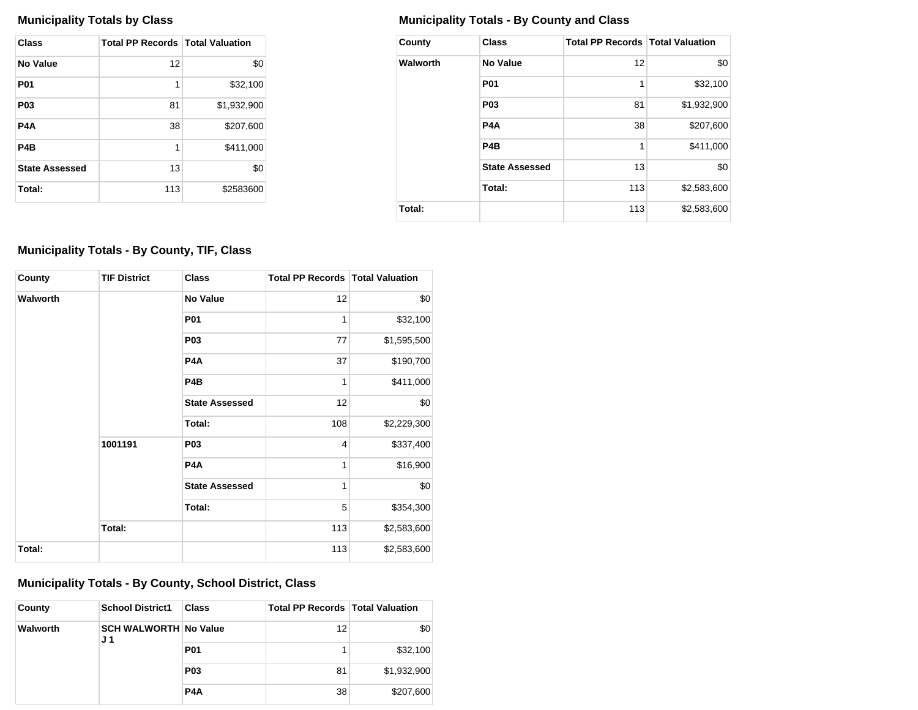| Class                 | <b>Total PP Records   Total Valuation</b> |             |
|-----------------------|-------------------------------------------|-------------|
| No Value              | 12                                        | \$0         |
| <b>P01</b>            | 1                                         | \$32,100    |
| P <sub>0</sub> 3      | 81                                        | \$1,932,900 |
| P4A                   | 38                                        | \$207,600   |
| P4B                   | 1                                         | \$411,000   |
| <b>State Assessed</b> | 13                                        | \$0         |
| Total:                | 113                                       | \$2583600   |

## **Municipality Totals by Class Municipality Totals - By County and Class**

| County   | <b>Class</b>          | <b>Total PP Records   Total Valuation</b> |             |
|----------|-----------------------|-------------------------------------------|-------------|
| Walworth | No Value              | 12                                        | \$0         |
|          | <b>P01</b>            | 1                                         | \$32,100    |
|          | P <sub>03</sub>       | 81                                        | \$1,932,900 |
|          | P <sub>4</sub> A      | 38                                        | \$207,600   |
|          | P <sub>4</sub> B      | 1                                         | \$411,000   |
|          | <b>State Assessed</b> | 13                                        | \$0         |
|          | Total:                | 113                                       | \$2,583,600 |
| Total:   |                       | 113                                       | \$2,583,600 |

# **Municipality Totals - By County, TIF, Class**

| County          | <b>TIF District</b> | <b>Class</b>          | <b>Total PP Records   Total Valuation</b> |             |
|-----------------|---------------------|-----------------------|-------------------------------------------|-------------|
| <b>Walworth</b> |                     | <b>No Value</b>       | 12                                        | \$0         |
|                 |                     | P01                   | 1                                         | \$32,100    |
|                 |                     | P <sub>0</sub> 3      | 77                                        | \$1,595,500 |
|                 |                     | P <sub>4</sub> A      | 37                                        | \$190,700   |
|                 |                     | P <sub>4</sub> B      | 1                                         | \$411,000   |
|                 |                     | <b>State Assessed</b> | 12                                        | \$0         |
|                 |                     | Total:                | 108                                       | \$2,229,300 |
|                 | 1001191             | <b>P03</b>            | $\overline{4}$                            | \$337,400   |
|                 |                     | P <sub>4</sub> A      | 1                                         | \$16,900    |
|                 |                     | <b>State Assessed</b> | 1                                         | \$0         |
|                 |                     | Total:                | 5                                         | \$354,300   |
|                 | Total:              |                       | 113                                       | \$2,583,600 |
| Total:          |                     |                       | 113                                       | \$2,583,600 |

# **Municipality Totals - By County, School District, Class**

| County   | <b>School District1</b>             | <b>Class</b>     | Total PP Records   Total Valuation |             |
|----------|-------------------------------------|------------------|------------------------------------|-------------|
| Walworth | <b>SCH WALWORTH No Value</b><br>J 1 |                  | 12                                 | \$0         |
|          |                                     | <b>P01</b>       |                                    | \$32,100    |
|          |                                     | P <sub>0</sub> 3 | 81                                 | \$1,932,900 |
|          |                                     | P <sub>4</sub> A | 38                                 | \$207,600   |